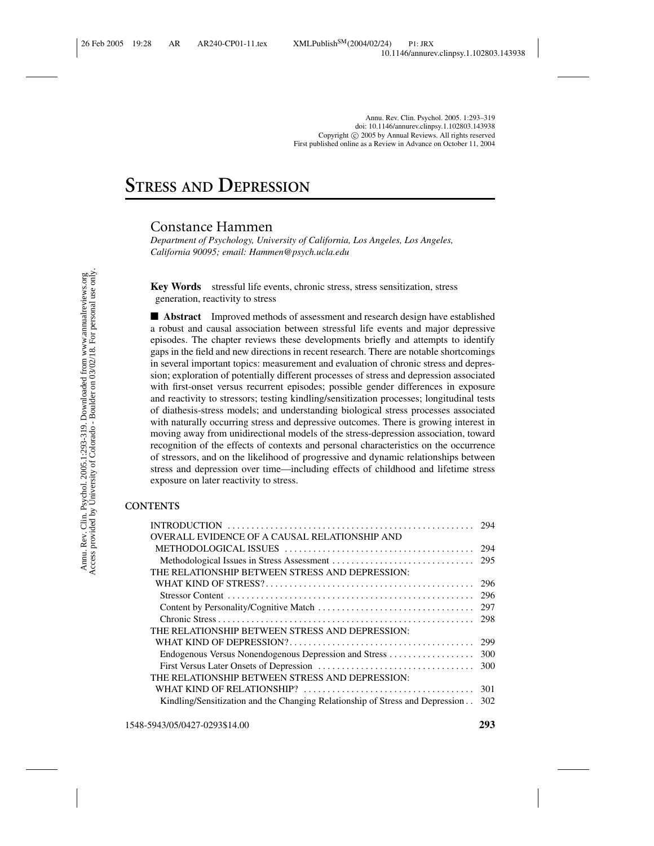## **STRESS AND DEPRESSION**

## Constance Hammen

*Department of Psychology, University of California, Los Angeles, Los Angeles, California 90095; email: Hammen@psych.ucla.edu*

**Key Words** stressful life events, chronic stress, stress sensitization, stress generation, reactivity to stress

■ **Abstract** Improved methods of assessment and research design have established a robust and causal association between stressful life events and major depressive episodes. The chapter reviews these developments briefly and attempts to identify gaps in the field and new directions in recent research. There are notable shortcomings in several important topics: measurement and evaluation of chronic stress and depression; exploration of potentially different processes of stress and depression associated with first-onset versus recurrent episodes; possible gender differences in exposure and reactivity to stressors; testing kindling/sensitization processes; longitudinal tests of diathesis-stress models; and understanding biological stress processes associated with naturally occurring stress and depressive outcomes. There is growing interest in moving away from unidirectional models of the stress-depression association, toward recognition of the effects of contexts and personal characteristics on the occurrence of stressors, and on the likelihood of progressive and dynamic relationships between stress and depression over time—including effects of childhood and lifetime stress exposure on later reactivity to stress.

#### **CONTENTS**

| OVERALL EVIDENCE OF A CAUSAL RELATIONSHIP AND                                      |     |
|------------------------------------------------------------------------------------|-----|
|                                                                                    | 294 |
|                                                                                    |     |
| THE RELATIONSHIP BETWEEN STRESS AND DEPRESSION:                                    |     |
|                                                                                    | 296 |
|                                                                                    | 296 |
|                                                                                    | 297 |
|                                                                                    | 298 |
| THE RELATIONSHIP BETWEEN STRESS AND DEPRESSION:                                    |     |
|                                                                                    | 299 |
| Endogenous Versus Nonendogenous Depression and Stress                              | 300 |
|                                                                                    | 300 |
| THE RELATIONSHIP BETWEEN STRESS AND DEPRESSION:                                    |     |
|                                                                                    | 301 |
| Kindling/Sensitization and the Changing Relationship of Stress and Depression. 302 |     |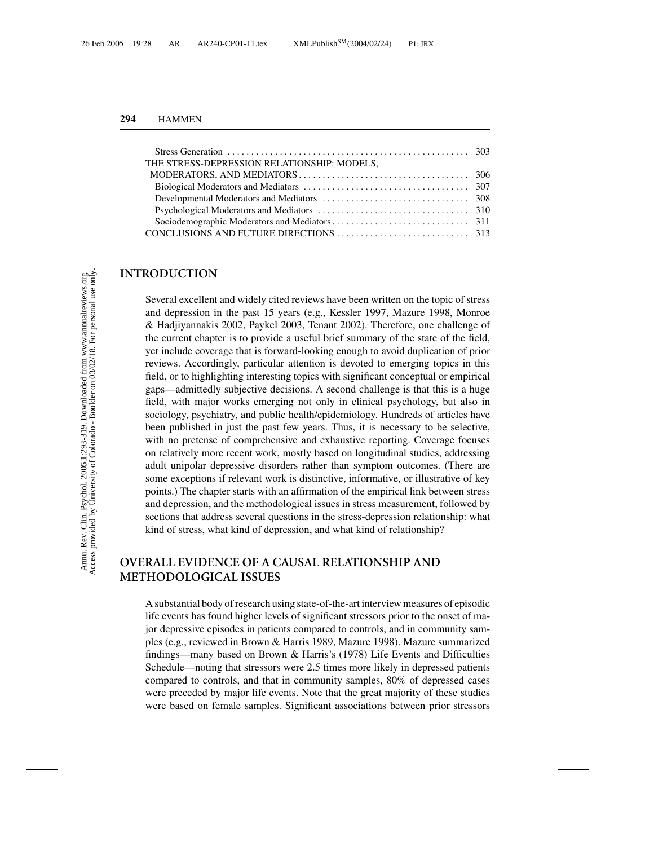| THE STRESS-DEPRESSION RELATIONSHIP: MODELS. |  |
|---------------------------------------------|--|
|                                             |  |
|                                             |  |
|                                             |  |
|                                             |  |
|                                             |  |
|                                             |  |

#### **INTRODUCTION**

Several excellent and widely cited reviews have been written on the topic of stress and depression in the past 15 years (e.g., Kessler 1997, Mazure 1998, Monroe & Hadjiyannakis 2002, Paykel 2003, Tenant 2002). Therefore, one challenge of the current chapter is to provide a useful brief summary of the state of the field, yet include coverage that is forward-looking enough to avoid duplication of prior reviews. Accordingly, particular attention is devoted to emerging topics in this field, or to highlighting interesting topics with significant conceptual or empirical gaps—admittedly subjective decisions. A second challenge is that this is a huge field, with major works emerging not only in clinical psychology, but also in sociology, psychiatry, and public health/epidemiology. Hundreds of articles have been published in just the past few years. Thus, it is necessary to be selective, with no pretense of comprehensive and exhaustive reporting. Coverage focuses on relatively more recent work, mostly based on longitudinal studies, addressing adult unipolar depressive disorders rather than symptom outcomes. (There are some exceptions if relevant work is distinctive, informative, or illustrative of key points.) The chapter starts with an affirmation of the empirical link between stress and depression, and the methodological issues in stress measurement, followed by sections that address several questions in the stress-depression relationship: what kind of stress, what kind of depression, and what kind of relationship?

## **OVERALL EVIDENCE OF A CAUSAL RELATIONSHIP AND METHODOLOGICAL ISSUES**

A substantial body of research using state-of-the-art interview measures of episodic life events has found higher levels of significant stressors prior to the onset of major depressive episodes in patients compared to controls, and in community samples (e.g., reviewed in Brown & Harris 1989, Mazure 1998). Mazure summarized findings—many based on Brown & Harris's (1978) Life Events and Difficulties Schedule—noting that stressors were 2.5 times more likely in depressed patients compared to controls, and that in community samples, 80% of depressed cases were preceded by major life events. Note that the great majority of these studies were based on female samples. Significant associations between prior stressors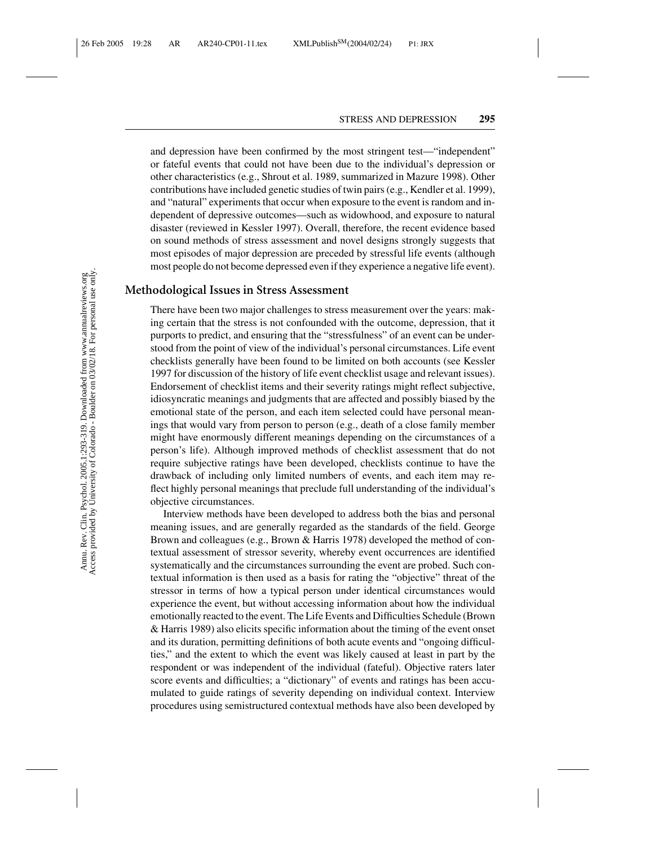and depression have been confirmed by the most stringent test—"independent" or fateful events that could not have been due to the individual's depression or other characteristics (e.g., Shrout et al. 1989, summarized in Mazure 1998). Other contributions have included genetic studies of twin pairs (e.g., Kendler et al. 1999), and "natural" experiments that occur when exposure to the event is random and independent of depressive outcomes—such as widowhood, and exposure to natural disaster (reviewed in Kessler 1997). Overall, therefore, the recent evidence based on sound methods of stress assessment and novel designs strongly suggests that most episodes of major depression are preceded by stressful life events (although most people do not become depressed even if they experience a negative life event).

## **Methodological Issues in Stress Assessment**

There have been two major challenges to stress measurement over the years: making certain that the stress is not confounded with the outcome, depression, that it purports to predict, and ensuring that the "stressfulness" of an event can be understood from the point of view of the individual's personal circumstances. Life event checklists generally have been found to be limited on both accounts (see Kessler 1997 for discussion of the history of life event checklist usage and relevant issues). Endorsement of checklist items and their severity ratings might reflect subjective, idiosyncratic meanings and judgments that are affected and possibly biased by the emotional state of the person, and each item selected could have personal meanings that would vary from person to person (e.g., death of a close family member might have enormously different meanings depending on the circumstances of a person's life). Although improved methods of checklist assessment that do not require subjective ratings have been developed, checklists continue to have the drawback of including only limited numbers of events, and each item may reflect highly personal meanings that preclude full understanding of the individual's objective circumstances.

Interview methods have been developed to address both the bias and personal meaning issues, and are generally regarded as the standards of the field. George Brown and colleagues (e.g., Brown & Harris 1978) developed the method of contextual assessment of stressor severity, whereby event occurrences are identified systematically and the circumstances surrounding the event are probed. Such contextual information is then used as a basis for rating the "objective" threat of the stressor in terms of how a typical person under identical circumstances would experience the event, but without accessing information about how the individual emotionally reacted to the event. The Life Events and Difficulties Schedule (Brown & Harris 1989) also elicits specific information about the timing of the event onset and its duration, permitting definitions of both acute events and "ongoing difficulties," and the extent to which the event was likely caused at least in part by the respondent or was independent of the individual (fateful). Objective raters later score events and difficulties; a "dictionary" of events and ratings has been accumulated to guide ratings of severity depending on individual context. Interview procedures using semistructured contextual methods have also been developed by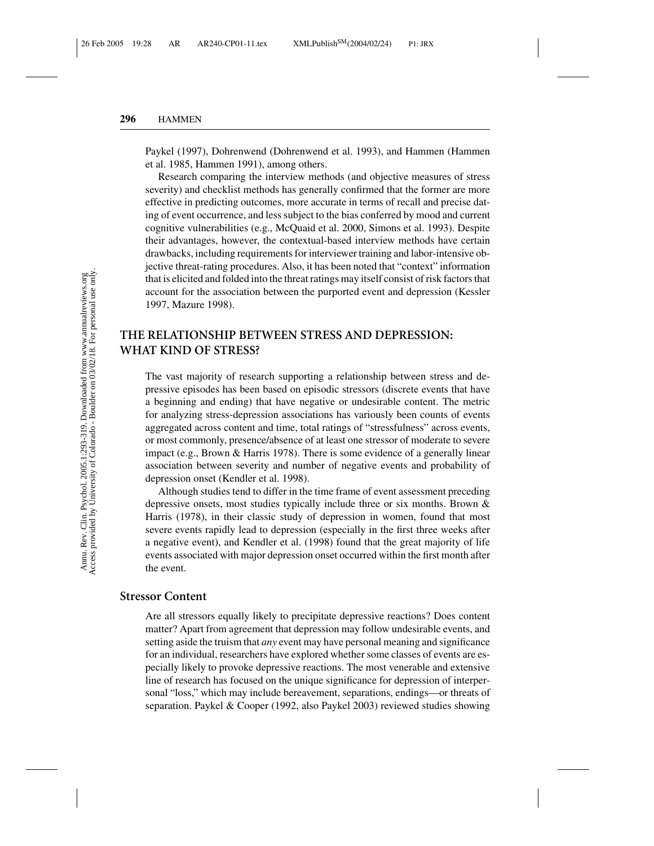Paykel (1997), Dohrenwend (Dohrenwend et al. 1993), and Hammen (Hammen et al. 1985, Hammen 1991), among others.

Research comparing the interview methods (and objective measures of stress severity) and checklist methods has generally confirmed that the former are more effective in predicting outcomes, more accurate in terms of recall and precise dating of event occurrence, and less subject to the bias conferred by mood and current cognitive vulnerabilities (e.g., McQuaid et al. 2000, Simons et al. 1993). Despite their advantages, however, the contextual-based interview methods have certain drawbacks, including requirements for interviewer training and labor-intensive objective threat-rating procedures. Also, it has been noted that "context" information that is elicited and folded into the threat ratings may itself consist of risk factors that account for the association between the purported event and depression (Kessler 1997, Mazure 1998).

## **THE RELATIONSHIP BETWEEN STRESS AND DEPRESSION: WHAT KIND OF STRESS?**

The vast majority of research supporting a relationship between stress and depressive episodes has been based on episodic stressors (discrete events that have a beginning and ending) that have negative or undesirable content. The metric for analyzing stress-depression associations has variously been counts of events aggregated across content and time, total ratings of "stressfulness" across events, or most commonly, presence/absence of at least one stressor of moderate to severe impact (e.g., Brown & Harris 1978). There is some evidence of a generally linear association between severity and number of negative events and probability of depression onset (Kendler et al. 1998).

Although studies tend to differ in the time frame of event assessment preceding depressive onsets, most studies typically include three or six months. Brown & Harris (1978), in their classic study of depression in women, found that most severe events rapidly lead to depression (especially in the first three weeks after a negative event), and Kendler et al. (1998) found that the great majority of life events associated with major depression onset occurred within the first month after the event.

#### **Stressor Content**

Are all stressors equally likely to precipitate depressive reactions? Does content matter? Apart from agreement that depression may follow undesirable events, and setting aside the truism that *any* event may have personal meaning and significance for an individual, researchers have explored whether some classes of events are especially likely to provoke depressive reactions. The most venerable and extensive line of research has focused on the unique significance for depression of interpersonal "loss," which may include bereavement, separations, endings—or threats of separation. Paykel & Cooper (1992, also Paykel 2003) reviewed studies showing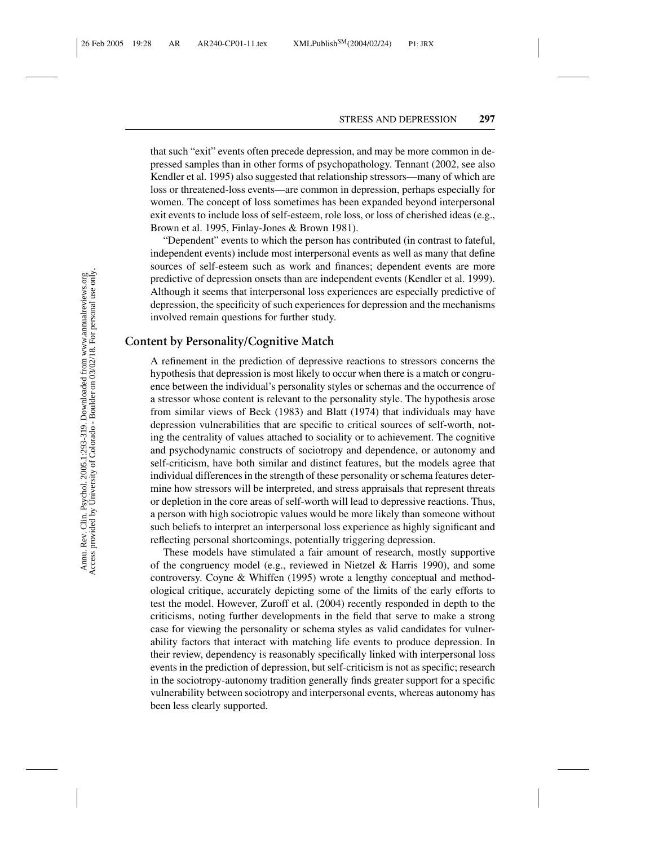that such "exit" events often precede depression, and may be more common in depressed samples than in other forms of psychopathology. Tennant (2002, see also Kendler et al. 1995) also suggested that relationship stressors—many of which are loss or threatened-loss events—are common in depression, perhaps especially for women. The concept of loss sometimes has been expanded beyond interpersonal exit events to include loss of self-esteem, role loss, or loss of cherished ideas (e.g., Brown et al. 1995, Finlay-Jones & Brown 1981).

"Dependent" events to which the person has contributed (in contrast to fateful, independent events) include most interpersonal events as well as many that define sources of self-esteem such as work and finances; dependent events are more predictive of depression onsets than are independent events (Kendler et al. 1999). Although it seems that interpersonal loss experiences are especially predictive of depression, the specificity of such experiences for depression and the mechanisms involved remain questions for further study.

## **Content by Personality/Cognitive Match**

A refinement in the prediction of depressive reactions to stressors concerns the hypothesis that depression is most likely to occur when there is a match or congruence between the individual's personality styles or schemas and the occurrence of a stressor whose content is relevant to the personality style. The hypothesis arose from similar views of Beck (1983) and Blatt (1974) that individuals may have depression vulnerabilities that are specific to critical sources of self-worth, noting the centrality of values attached to sociality or to achievement. The cognitive and psychodynamic constructs of sociotropy and dependence, or autonomy and self-criticism, have both similar and distinct features, but the models agree that individual differences in the strength of these personality or schema features determine how stressors will be interpreted, and stress appraisals that represent threats or depletion in the core areas of self-worth will lead to depressive reactions. Thus, a person with high sociotropic values would be more likely than someone without such beliefs to interpret an interpersonal loss experience as highly significant and reflecting personal shortcomings, potentially triggering depression.

These models have stimulated a fair amount of research, mostly supportive of the congruency model (e.g., reviewed in Nietzel & Harris 1990), and some controversy. Coyne & Whiffen (1995) wrote a lengthy conceptual and methodological critique, accurately depicting some of the limits of the early efforts to test the model. However, Zuroff et al. (2004) recently responded in depth to the criticisms, noting further developments in the field that serve to make a strong case for viewing the personality or schema styles as valid candidates for vulnerability factors that interact with matching life events to produce depression. In their review, dependency is reasonably specifically linked with interpersonal loss events in the prediction of depression, but self-criticism is not as specific; research in the sociotropy-autonomy tradition generally finds greater support for a specific vulnerability between sociotropy and interpersonal events, whereas autonomy has been less clearly supported.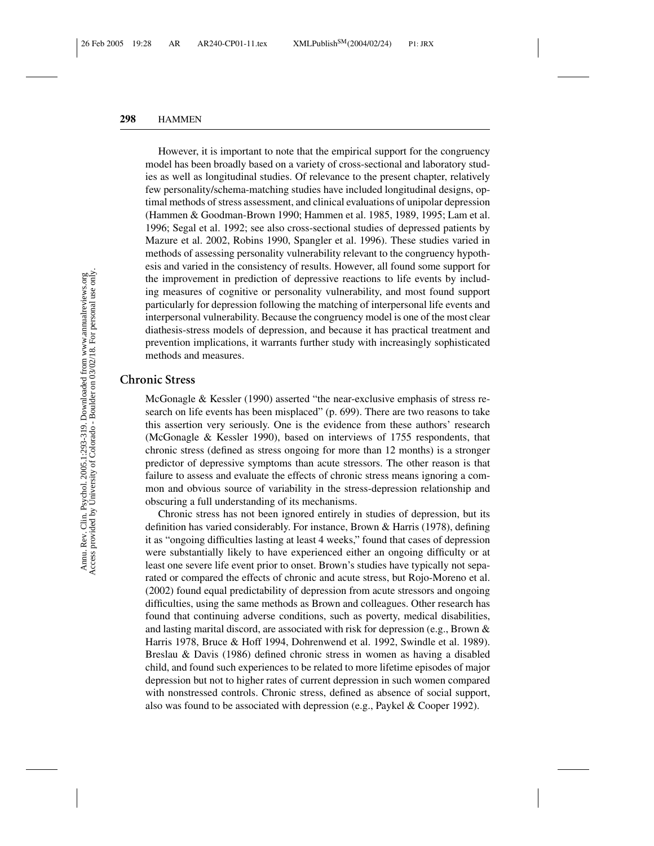However, it is important to note that the empirical support for the congruency model has been broadly based on a variety of cross-sectional and laboratory studies as well as longitudinal studies. Of relevance to the present chapter, relatively few personality/schema-matching studies have included longitudinal designs, optimal methods of stress assessment, and clinical evaluations of unipolar depression (Hammen & Goodman-Brown 1990; Hammen et al. 1985, 1989, 1995; Lam et al. 1996; Segal et al. 1992; see also cross-sectional studies of depressed patients by Mazure et al. 2002, Robins 1990, Spangler et al. 1996). These studies varied in methods of assessing personality vulnerability relevant to the congruency hypothesis and varied in the consistency of results. However, all found some support for the improvement in prediction of depressive reactions to life events by including measures of cognitive or personality vulnerability, and most found support particularly for depression following the matching of interpersonal life events and interpersonal vulnerability. Because the congruency model is one of the most clear diathesis-stress models of depression, and because it has practical treatment and prevention implications, it warrants further study with increasingly sophisticated methods and measures.

#### **Chronic Stress**

McGonagle & Kessler (1990) asserted "the near-exclusive emphasis of stress research on life events has been misplaced" (p. 699). There are two reasons to take this assertion very seriously. One is the evidence from these authors' research (McGonagle & Kessler 1990), based on interviews of 1755 respondents, that chronic stress (defined as stress ongoing for more than 12 months) is a stronger predictor of depressive symptoms than acute stressors. The other reason is that failure to assess and evaluate the effects of chronic stress means ignoring a common and obvious source of variability in the stress-depression relationship and obscuring a full understanding of its mechanisms.

Chronic stress has not been ignored entirely in studies of depression, but its definition has varied considerably. For instance, Brown & Harris (1978), defining it as "ongoing difficulties lasting at least 4 weeks," found that cases of depression were substantially likely to have experienced either an ongoing difficulty or at least one severe life event prior to onset. Brown's studies have typically not separated or compared the effects of chronic and acute stress, but Rojo-Moreno et al. (2002) found equal predictability of depression from acute stressors and ongoing difficulties, using the same methods as Brown and colleagues. Other research has found that continuing adverse conditions, such as poverty, medical disabilities, and lasting marital discord, are associated with risk for depression (e.g., Brown & Harris 1978, Bruce & Hoff 1994, Dohrenwend et al. 1992, Swindle et al. 1989). Breslau & Davis (1986) defined chronic stress in women as having a disabled child, and found such experiences to be related to more lifetime episodes of major depression but not to higher rates of current depression in such women compared with nonstressed controls. Chronic stress, defined as absence of social support, also was found to be associated with depression (e.g., Paykel & Cooper 1992).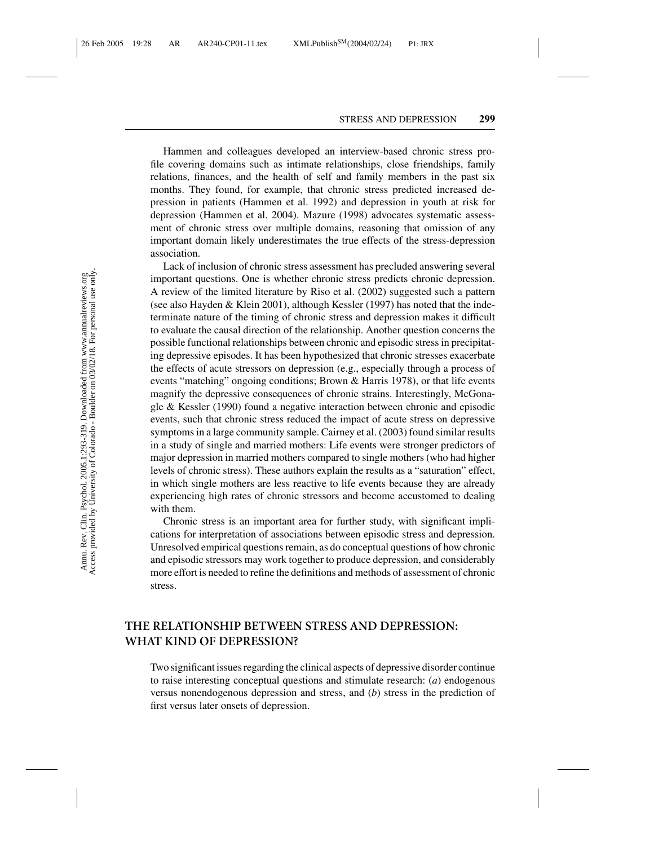Hammen and colleagues developed an interview-based chronic stress profile covering domains such as intimate relationships, close friendships, family relations, finances, and the health of self and family members in the past six months. They found, for example, that chronic stress predicted increased depression in patients (Hammen et al. 1992) and depression in youth at risk for depression (Hammen et al. 2004). Mazure (1998) advocates systematic assessment of chronic stress over multiple domains, reasoning that omission of any important domain likely underestimates the true effects of the stress-depression association.

Lack of inclusion of chronic stress assessment has precluded answering several important questions. One is whether chronic stress predicts chronic depression. A review of the limited literature by Riso et al. (2002) suggested such a pattern (see also Hayden & Klein 2001), although Kessler (1997) has noted that the indeterminate nature of the timing of chronic stress and depression makes it difficult to evaluate the causal direction of the relationship. Another question concerns the possible functional relationships between chronic and episodic stress in precipitating depressive episodes. It has been hypothesized that chronic stresses exacerbate the effects of acute stressors on depression (e.g., especially through a process of events "matching" ongoing conditions; Brown & Harris 1978), or that life events magnify the depressive consequences of chronic strains. Interestingly, McGonagle & Kessler (1990) found a negative interaction between chronic and episodic events, such that chronic stress reduced the impact of acute stress on depressive symptoms in a large community sample. Cairney et al. (2003) found similar results in a study of single and married mothers: Life events were stronger predictors of major depression in married mothers compared to single mothers (who had higher levels of chronic stress). These authors explain the results as a "saturation" effect, in which single mothers are less reactive to life events because they are already experiencing high rates of chronic stressors and become accustomed to dealing with them.

Chronic stress is an important area for further study, with significant implications for interpretation of associations between episodic stress and depression. Unresolved empirical questions remain, as do conceptual questions of how chronic and episodic stressors may work together to produce depression, and considerably more effort is needed to refine the definitions and methods of assessment of chronic stress.

## **THE RELATIONSHIP BETWEEN STRESS AND DEPRESSION: WHAT KIND OF DEPRESSION?**

Two significant issues regarding the clinical aspects of depressive disorder continue to raise interesting conceptual questions and stimulate research: (*a*) endogenous versus nonendogenous depression and stress, and (*b*) stress in the prediction of first versus later onsets of depression.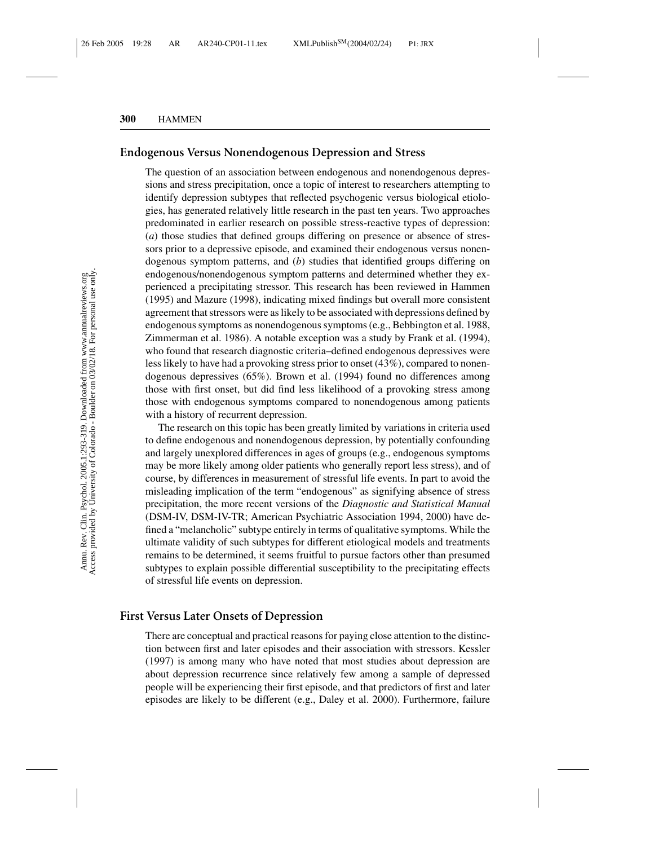#### **Endogenous Versus Nonendogenous Depression and Stress**

The question of an association between endogenous and nonendogenous depressions and stress precipitation, once a topic of interest to researchers attempting to identify depression subtypes that reflected psychogenic versus biological etiologies, has generated relatively little research in the past ten years. Two approaches predominated in earlier research on possible stress-reactive types of depression: (*a*) those studies that defined groups differing on presence or absence of stressors prior to a depressive episode, and examined their endogenous versus nonendogenous symptom patterns, and (*b*) studies that identified groups differing on endogenous/nonendogenous symptom patterns and determined whether they experienced a precipitating stressor. This research has been reviewed in Hammen (1995) and Mazure (1998), indicating mixed findings but overall more consistent agreement that stressors were as likely to be associated with depressions defined by endogenous symptoms as nonendogenous symptoms (e.g., Bebbington et al. 1988, Zimmerman et al. 1986). A notable exception was a study by Frank et al. (1994), who found that research diagnostic criteria–defined endogenous depressives were less likely to have had a provoking stress prior to onset (43%), compared to nonendogenous depressives (65%). Brown et al. (1994) found no differences among those with first onset, but did find less likelihood of a provoking stress among those with endogenous symptoms compared to nonendogenous among patients with a history of recurrent depression.

The research on this topic has been greatly limited by variations in criteria used to define endogenous and nonendogenous depression, by potentially confounding and largely unexplored differences in ages of groups (e.g., endogenous symptoms may be more likely among older patients who generally report less stress), and of course, by differences in measurement of stressful life events. In part to avoid the misleading implication of the term "endogenous" as signifying absence of stress precipitation, the more recent versions of the *Diagnostic and Statistical Manual* (DSM-IV, DSM-IV-TR; American Psychiatric Association 1994, 2000) have defined a "melancholic" subtype entirely in terms of qualitative symptoms. While the ultimate validity of such subtypes for different etiological models and treatments remains to be determined, it seems fruitful to pursue factors other than presumed subtypes to explain possible differential susceptibility to the precipitating effects of stressful life events on depression.

## **First Versus Later Onsets of Depression**

There are conceptual and practical reasons for paying close attention to the distinction between first and later episodes and their association with stressors. Kessler (1997) is among many who have noted that most studies about depression are about depression recurrence since relatively few among a sample of depressed people will be experiencing their first episode, and that predictors of first and later episodes are likely to be different (e.g., Daley et al. 2000). Furthermore, failure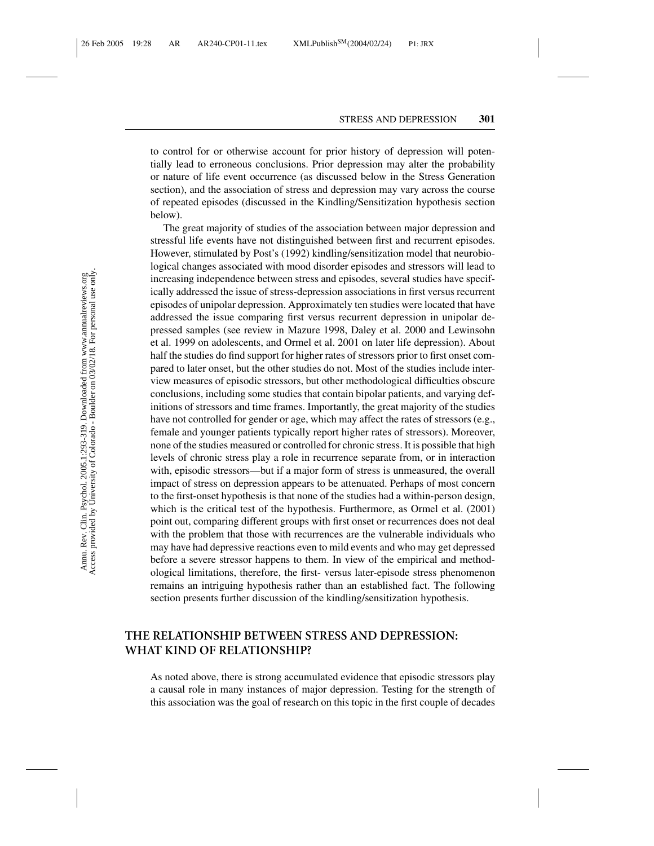to control for or otherwise account for prior history of depression will potentially lead to erroneous conclusions. Prior depression may alter the probability or nature of life event occurrence (as discussed below in the Stress Generation section), and the association of stress and depression may vary across the course of repeated episodes (discussed in the Kindling/Sensitization hypothesis section below).

The great majority of studies of the association between major depression and stressful life events have not distinguished between first and recurrent episodes. However, stimulated by Post's (1992) kindling/sensitization model that neurobiological changes associated with mood disorder episodes and stressors will lead to increasing independence between stress and episodes, several studies have specifically addressed the issue of stress-depression associations in first versus recurrent episodes of unipolar depression. Approximately ten studies were located that have addressed the issue comparing first versus recurrent depression in unipolar depressed samples (see review in Mazure 1998, Daley et al. 2000 and Lewinsohn et al. 1999 on adolescents, and Ormel et al. 2001 on later life depression). About half the studies do find support for higher rates of stressors prior to first onset compared to later onset, but the other studies do not. Most of the studies include interview measures of episodic stressors, but other methodological difficulties obscure conclusions, including some studies that contain bipolar patients, and varying definitions of stressors and time frames. Importantly, the great majority of the studies have not controlled for gender or age, which may affect the rates of stressors (e.g., female and younger patients typically report higher rates of stressors). Moreover, none of the studies measured or controlled for chronic stress. It is possible that high levels of chronic stress play a role in recurrence separate from, or in interaction with, episodic stressors—but if a major form of stress is unmeasured, the overall impact of stress on depression appears to be attenuated. Perhaps of most concern to the first-onset hypothesis is that none of the studies had a within-person design, which is the critical test of the hypothesis. Furthermore, as Ormel et al. (2001) point out, comparing different groups with first onset or recurrences does not deal with the problem that those with recurrences are the vulnerable individuals who may have had depressive reactions even to mild events and who may get depressed before a severe stressor happens to them. In view of the empirical and methodological limitations, therefore, the first- versus later-episode stress phenomenon remains an intriguing hypothesis rather than an established fact. The following section presents further discussion of the kindling/sensitization hypothesis.

## **THE RELATIONSHIP BETWEEN STRESS AND DEPRESSION: WHAT KIND OF RELATIONSHIP?**

As noted above, there is strong accumulated evidence that episodic stressors play a causal role in many instances of major depression. Testing for the strength of this association was the goal of research on this topic in the first couple of decades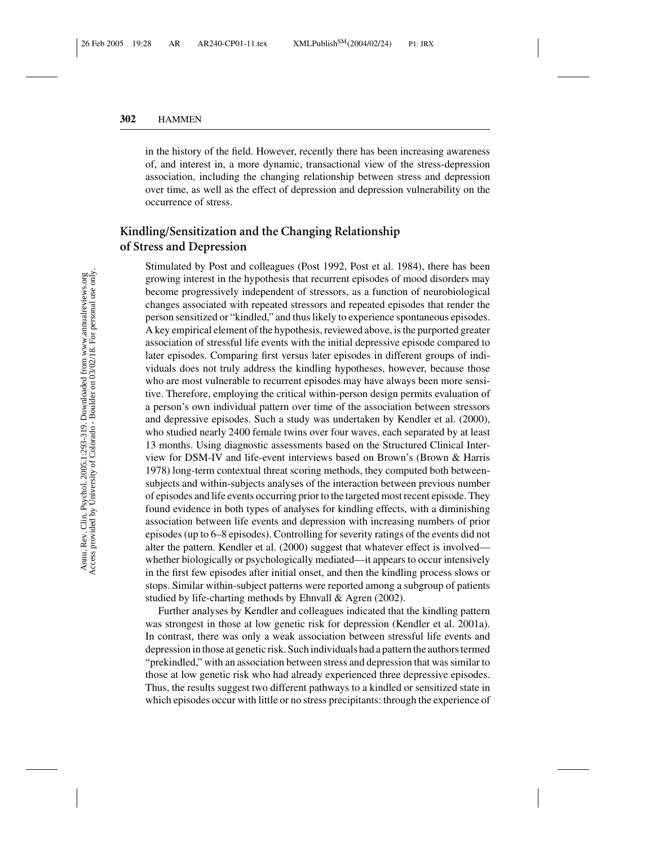in the history of the field. However, recently there has been increasing awareness of, and interest in, a more dynamic, transactional view of the stress-depression association, including the changing relationship between stress and depression over time, as well as the effect of depression and depression vulnerability on the occurrence of stress.

## **Kindling/Sensitization and the Changing Relationship of Stress and Depression**

Stimulated by Post and colleagues (Post 1992, Post et al. 1984), there has been growing interest in the hypothesis that recurrent episodes of mood disorders may become progressively independent of stressors, as a function of neurobiological changes associated with repeated stressors and repeated episodes that render the person sensitized or "kindled," and thus likely to experience spontaneous episodes. A key empirical element of the hypothesis, reviewed above, is the purported greater association of stressful life events with the initial depressive episode compared to later episodes. Comparing first versus later episodes in different groups of individuals does not truly address the kindling hypotheses, however, because those who are most vulnerable to recurrent episodes may have always been more sensitive. Therefore, employing the critical within-person design permits evaluation of a person's own individual pattern over time of the association between stressors and depressive episodes. Such a study was undertaken by Kendler et al. (2000), who studied nearly 2400 female twins over four waves, each separated by at least 13 months. Using diagnostic assessments based on the Structured Clinical Interview for DSM-IV and life-event interviews based on Brown's (Brown & Harris 1978) long-term contextual threat scoring methods, they computed both betweensubjects and within-subjects analyses of the interaction between previous number of episodes and life events occurring prior to the targeted most recent episode. They found evidence in both types of analyses for kindling effects, with a diminishing association between life events and depression with increasing numbers of prior episodes (up to 6–8 episodes). Controlling for severity ratings of the events did not alter the pattern. Kendler et al. (2000) suggest that whatever effect is involved whether biologically or psychologically mediated—it appears to occur intensively in the first few episodes after initial onset, and then the kindling process slows or stops. Similar within-subject patterns were reported among a subgroup of patients studied by life-charting methods by Ehnvall & Agren (2002).

Further analyses by Kendler and colleagues indicated that the kindling pattern was strongest in those at low genetic risk for depression (Kendler et al. 2001a). In contrast, there was only a weak association between stressful life events and depression in those at genetic risk. Such individuals had a pattern the authors termed "prekindled," with an association between stress and depression that was similar to those at low genetic risk who had already experienced three depressive episodes. Thus, the results suggest two different pathways to a kindled or sensitized state in which episodes occur with little or no stress precipitants: through the experience of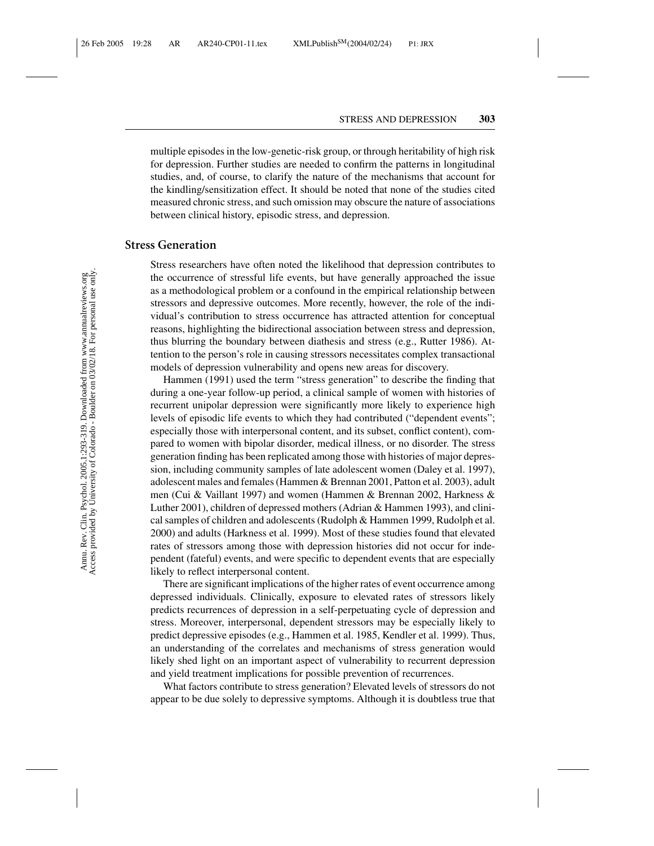multiple episodes in the low-genetic-risk group, or through heritability of high risk for depression. Further studies are needed to confirm the patterns in longitudinal studies, and, of course, to clarify the nature of the mechanisms that account for the kindling/sensitization effect. It should be noted that none of the studies cited measured chronic stress, and such omission may obscure the nature of associations between clinical history, episodic stress, and depression.

#### **Stress Generation**

Stress researchers have often noted the likelihood that depression contributes to the occurrence of stressful life events, but have generally approached the issue as a methodological problem or a confound in the empirical relationship between stressors and depressive outcomes. More recently, however, the role of the individual's contribution to stress occurrence has attracted attention for conceptual reasons, highlighting the bidirectional association between stress and depression, thus blurring the boundary between diathesis and stress (e.g., Rutter 1986). Attention to the person's role in causing stressors necessitates complex transactional models of depression vulnerability and opens new areas for discovery.

Hammen (1991) used the term "stress generation" to describe the finding that during a one-year follow-up period, a clinical sample of women with histories of recurrent unipolar depression were significantly more likely to experience high levels of episodic life events to which they had contributed ("dependent events"; especially those with interpersonal content, and its subset, conflict content), compared to women with bipolar disorder, medical illness, or no disorder. The stress generation finding has been replicated among those with histories of major depression, including community samples of late adolescent women (Daley et al. 1997), adolescent males and females (Hammen & Brennan 2001, Patton et al. 2003), adult men (Cui & Vaillant 1997) and women (Hammen & Brennan 2002, Harkness & Luther 2001), children of depressed mothers (Adrian & Hammen 1993), and clinical samples of children and adolescents (Rudolph & Hammen 1999, Rudolph et al. 2000) and adults (Harkness et al. 1999). Most of these studies found that elevated rates of stressors among those with depression histories did not occur for independent (fateful) events, and were specific to dependent events that are especially likely to reflect interpersonal content.

There are significant implications of the higher rates of event occurrence among depressed individuals. Clinically, exposure to elevated rates of stressors likely predicts recurrences of depression in a self-perpetuating cycle of depression and stress. Moreover, interpersonal, dependent stressors may be especially likely to predict depressive episodes (e.g., Hammen et al. 1985, Kendler et al. 1999). Thus, an understanding of the correlates and mechanisms of stress generation would likely shed light on an important aspect of vulnerability to recurrent depression and yield treatment implications for possible prevention of recurrences.

What factors contribute to stress generation? Elevated levels of stressors do not appear to be due solely to depressive symptoms. Although it is doubtless true that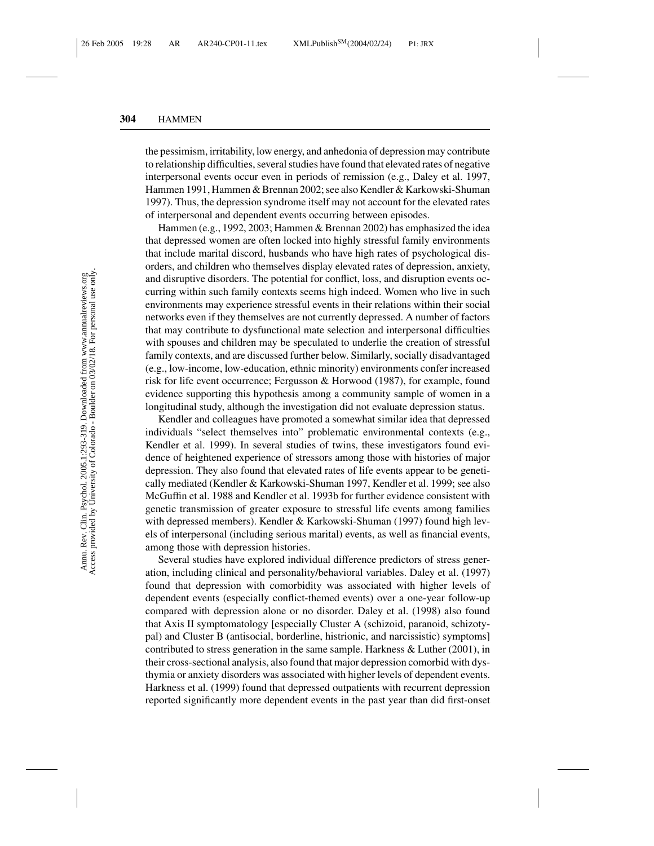the pessimism, irritability, low energy, and anhedonia of depression may contribute to relationship difficulties, several studies have found that elevated rates of negative interpersonal events occur even in periods of remission (e.g., Daley et al. 1997, Hammen 1991, Hammen & Brennan 2002; see also Kendler & Karkowski-Shuman 1997). Thus, the depression syndrome itself may not account for the elevated rates of interpersonal and dependent events occurring between episodes.

Hammen (e.g., 1992, 2003; Hammen & Brennan 2002) has emphasized the idea that depressed women are often locked into highly stressful family environments that include marital discord, husbands who have high rates of psychological disorders, and children who themselves display elevated rates of depression, anxiety, and disruptive disorders. The potential for conflict, loss, and disruption events occurring within such family contexts seems high indeed. Women who live in such environments may experience stressful events in their relations within their social networks even if they themselves are not currently depressed. A number of factors that may contribute to dysfunctional mate selection and interpersonal difficulties with spouses and children may be speculated to underlie the creation of stressful family contexts, and are discussed further below. Similarly, socially disadvantaged (e.g., low-income, low-education, ethnic minority) environments confer increased risk for life event occurrence; Fergusson & Horwood (1987), for example, found evidence supporting this hypothesis among a community sample of women in a longitudinal study, although the investigation did not evaluate depression status.

Kendler and colleagues have promoted a somewhat similar idea that depressed individuals "select themselves into" problematic environmental contexts (e.g., Kendler et al. 1999). In several studies of twins, these investigators found evidence of heightened experience of stressors among those with histories of major depression. They also found that elevated rates of life events appear to be genetically mediated (Kendler & Karkowski-Shuman 1997, Kendler et al. 1999; see also McGuffin et al. 1988 and Kendler et al. 1993b for further evidence consistent with genetic transmission of greater exposure to stressful life events among families with depressed members). Kendler & Karkowski-Shuman (1997) found high levels of interpersonal (including serious marital) events, as well as financial events, among those with depression histories.

Several studies have explored individual difference predictors of stress generation, including clinical and personality/behavioral variables. Daley et al. (1997) found that depression with comorbidity was associated with higher levels of dependent events (especially conflict-themed events) over a one-year follow-up compared with depression alone or no disorder. Daley et al. (1998) also found that Axis II symptomatology [especially Cluster A (schizoid, paranoid, schizotypal) and Cluster B (antisocial, borderline, histrionic, and narcissistic) symptoms] contributed to stress generation in the same sample. Harkness  $\&$  Luther (2001), in their cross-sectional analysis, also found that major depression comorbid with dysthymia or anxiety disorders was associated with higher levels of dependent events. Harkness et al. (1999) found that depressed outpatients with recurrent depression reported significantly more dependent events in the past year than did first-onset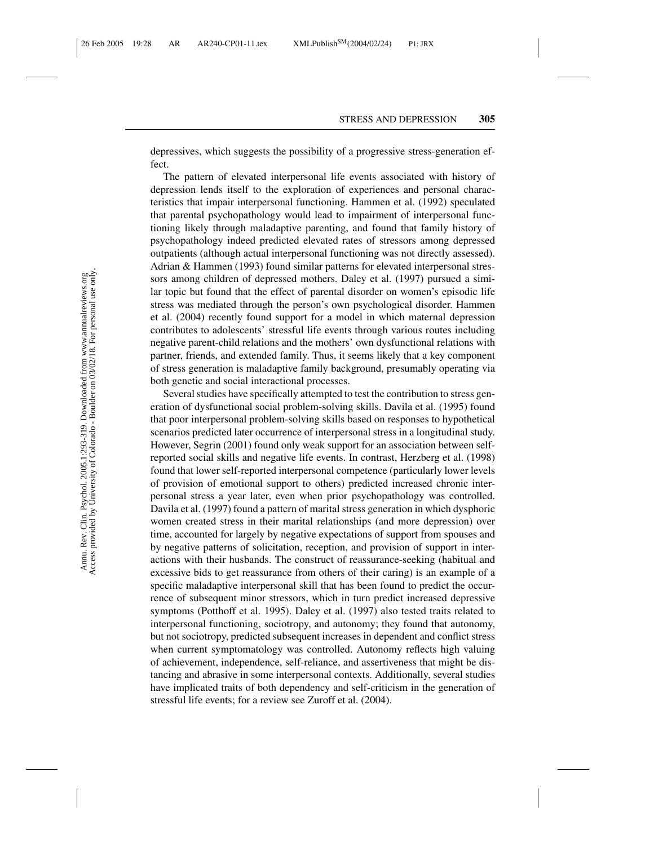depressives, which suggests the possibility of a progressive stress-generation effect.

The pattern of elevated interpersonal life events associated with history of depression lends itself to the exploration of experiences and personal characteristics that impair interpersonal functioning. Hammen et al. (1992) speculated that parental psychopathology would lead to impairment of interpersonal functioning likely through maladaptive parenting, and found that family history of psychopathology indeed predicted elevated rates of stressors among depressed outpatients (although actual interpersonal functioning was not directly assessed). Adrian & Hammen (1993) found similar patterns for elevated interpersonal stressors among children of depressed mothers. Daley et al. (1997) pursued a similar topic but found that the effect of parental disorder on women's episodic life stress was mediated through the person's own psychological disorder. Hammen et al. (2004) recently found support for a model in which maternal depression contributes to adolescents' stressful life events through various routes including negative parent-child relations and the mothers' own dysfunctional relations with partner, friends, and extended family. Thus, it seems likely that a key component of stress generation is maladaptive family background, presumably operating via both genetic and social interactional processes.

Several studies have specifically attempted to test the contribution to stress generation of dysfunctional social problem-solving skills. Davila et al. (1995) found that poor interpersonal problem-solving skills based on responses to hypothetical scenarios predicted later occurrence of interpersonal stress in a longitudinal study. However, Segrin (2001) found only weak support for an association between selfreported social skills and negative life events. In contrast, Herzberg et al. (1998) found that lower self-reported interpersonal competence (particularly lower levels of provision of emotional support to others) predicted increased chronic interpersonal stress a year later, even when prior psychopathology was controlled. Davila et al. (1997) found a pattern of marital stress generation in which dysphoric women created stress in their marital relationships (and more depression) over time, accounted for largely by negative expectations of support from spouses and by negative patterns of solicitation, reception, and provision of support in interactions with their husbands. The construct of reassurance-seeking (habitual and excessive bids to get reassurance from others of their caring) is an example of a specific maladaptive interpersonal skill that has been found to predict the occurrence of subsequent minor stressors, which in turn predict increased depressive symptoms (Potthoff et al. 1995). Daley et al. (1997) also tested traits related to interpersonal functioning, sociotropy, and autonomy; they found that autonomy, but not sociotropy, predicted subsequent increases in dependent and conflict stress when current symptomatology was controlled. Autonomy reflects high valuing of achievement, independence, self-reliance, and assertiveness that might be distancing and abrasive in some interpersonal contexts. Additionally, several studies have implicated traits of both dependency and self-criticism in the generation of stressful life events; for a review see Zuroff et al. (2004).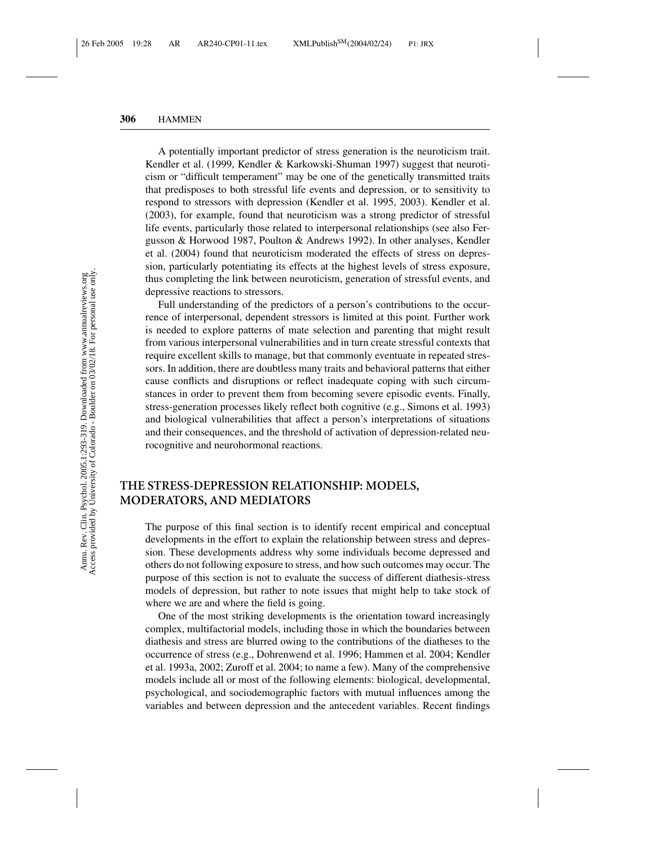A potentially important predictor of stress generation is the neuroticism trait. Kendler et al. (1999, Kendler & Karkowski-Shuman 1997) suggest that neuroticism or "difficult temperament" may be one of the genetically transmitted traits that predisposes to both stressful life events and depression, or to sensitivity to respond to stressors with depression (Kendler et al. 1995, 2003). Kendler et al. (2003), for example, found that neuroticism was a strong predictor of stressful life events, particularly those related to interpersonal relationships (see also Fergusson & Horwood 1987, Poulton & Andrews 1992). In other analyses, Kendler et al. (2004) found that neuroticism moderated the effects of stress on depression, particularly potentiating its effects at the highest levels of stress exposure, thus completing the link between neuroticism, generation of stressful events, and depressive reactions to stressors.

Full understanding of the predictors of a person's contributions to the occurrence of interpersonal, dependent stressors is limited at this point. Further work is needed to explore patterns of mate selection and parenting that might result from various interpersonal vulnerabilities and in turn create stressful contexts that require excellent skills to manage, but that commonly eventuate in repeated stressors. In addition, there are doubtless many traits and behavioral patterns that either cause conflicts and disruptions or reflect inadequate coping with such circumstances in order to prevent them from becoming severe episodic events. Finally, stress-generation processes likely reflect both cognitive (e.g., Simons et al. 1993) and biological vulnerabilities that affect a person's interpretations of situations and their consequences, and the threshold of activation of depression-related neurocognitive and neurohormonal reactions.

## **THE STRESS-DEPRESSION RELATIONSHIP: MODELS, MODERATORS, AND MEDIATORS**

The purpose of this final section is to identify recent empirical and conceptual developments in the effort to explain the relationship between stress and depression. These developments address why some individuals become depressed and others do not following exposure to stress, and how such outcomes may occur. The purpose of this section is not to evaluate the success of different diathesis-stress models of depression, but rather to note issues that might help to take stock of where we are and where the field is going.

One of the most striking developments is the orientation toward increasingly complex, multifactorial models, including those in which the boundaries between diathesis and stress are blurred owing to the contributions of the diatheses to the occurrence of stress (e.g., Dohrenwend et al. 1996; Hammen et al. 2004; Kendler et al. 1993a, 2002; Zuroff et al. 2004; to name a few). Many of the comprehensive models include all or most of the following elements: biological, developmental, psychological, and sociodemographic factors with mutual influences among the variables and between depression and the antecedent variables. Recent findings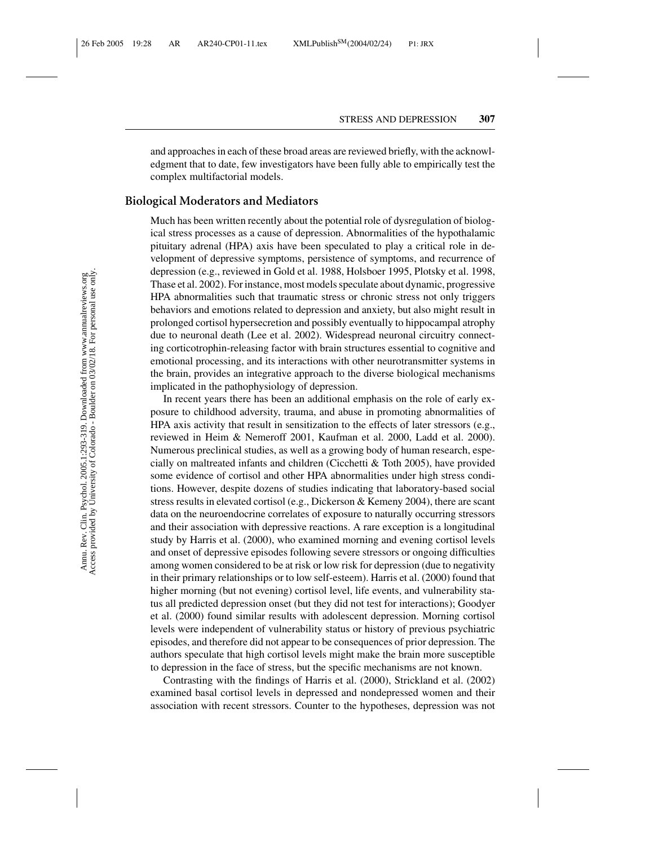and approaches in each of these broad areas are reviewed briefly, with the acknowledgment that to date, few investigators have been fully able to empirically test the complex multifactorial models.

#### **Biological Moderators and Mediators**

Much has been written recently about the potential role of dysregulation of biological stress processes as a cause of depression. Abnormalities of the hypothalamic pituitary adrenal (HPA) axis have been speculated to play a critical role in development of depressive symptoms, persistence of symptoms, and recurrence of depression (e.g., reviewed in Gold et al. 1988, Holsboer 1995, Plotsky et al. 1998, Thase et al. 2002). For instance, most models speculate about dynamic, progressive HPA abnormalities such that traumatic stress or chronic stress not only triggers behaviors and emotions related to depression and anxiety, but also might result in prolonged cortisol hypersecretion and possibly eventually to hippocampal atrophy due to neuronal death (Lee et al. 2002). Widespread neuronal circuitry connecting corticotrophin-releasing factor with brain structures essential to cognitive and emotional processing, and its interactions with other neurotransmitter systems in the brain, provides an integrative approach to the diverse biological mechanisms implicated in the pathophysiology of depression.

In recent years there has been an additional emphasis on the role of early exposure to childhood adversity, trauma, and abuse in promoting abnormalities of HPA axis activity that result in sensitization to the effects of later stressors (e.g., reviewed in Heim & Nemeroff 2001, Kaufman et al. 2000, Ladd et al. 2000). Numerous preclinical studies, as well as a growing body of human research, especially on maltreated infants and children (Cicchetti & Toth 2005), have provided some evidence of cortisol and other HPA abnormalities under high stress conditions. However, despite dozens of studies indicating that laboratory-based social stress results in elevated cortisol (e.g., Dickerson & Kemeny 2004), there are scant data on the neuroendocrine correlates of exposure to naturally occurring stressors and their association with depressive reactions. A rare exception is a longitudinal study by Harris et al. (2000), who examined morning and evening cortisol levels and onset of depressive episodes following severe stressors or ongoing difficulties among women considered to be at risk or low risk for depression (due to negativity in their primary relationships or to low self-esteem). Harris et al. (2000) found that higher morning (but not evening) cortisol level, life events, and vulnerability status all predicted depression onset (but they did not test for interactions); Goodyer et al. (2000) found similar results with adolescent depression. Morning cortisol levels were independent of vulnerability status or history of previous psychiatric episodes, and therefore did not appear to be consequences of prior depression. The authors speculate that high cortisol levels might make the brain more susceptible to depression in the face of stress, but the specific mechanisms are not known.

Contrasting with the findings of Harris et al. (2000), Strickland et al. (2002) examined basal cortisol levels in depressed and nondepressed women and their association with recent stressors. Counter to the hypotheses, depression was not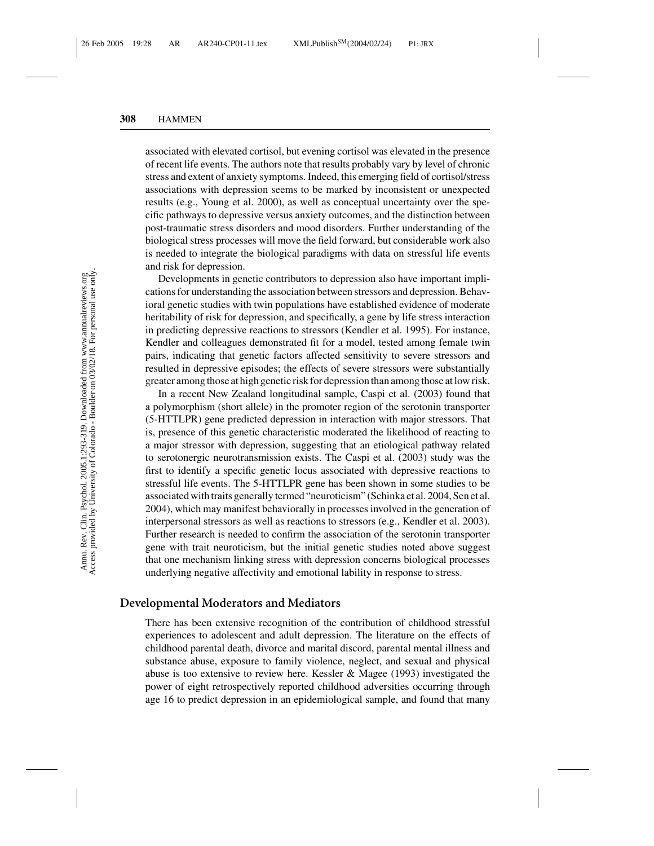associated with elevated cortisol, but evening cortisol was elevated in the presence of recent life events. The authors note that results probably vary by level of chronic stress and extent of anxiety symptoms. Indeed, this emerging field of cortisol/stress associations with depression seems to be marked by inconsistent or unexpected results (e.g., Young et al. 2000), as well as conceptual uncertainty over the specific pathways to depressive versus anxiety outcomes, and the distinction between post-traumatic stress disorders and mood disorders. Further understanding of the biological stress processes will move the field forward, but considerable work also is needed to integrate the biological paradigms with data on stressful life events and risk for depression.

Developments in genetic contributors to depression also have important implications for understanding the association between stressors and depression. Behavioral genetic studies with twin populations have established evidence of moderate heritability of risk for depression, and specifically, a gene by life stress interaction in predicting depressive reactions to stressors (Kendler et al. 1995). For instance, Kendler and colleagues demonstrated fit for a model, tested among female twin pairs, indicating that genetic factors affected sensitivity to severe stressors and resulted in depressive episodes; the effects of severe stressors were substantially greater among those at high genetic risk for depression than among those at low risk.

In a recent New Zealand longitudinal sample, Caspi et al. (2003) found that a polymorphism (short allele) in the promoter region of the serotonin transporter (5-HTTLPR) gene predicted depression in interaction with major stressors. That is, presence of this genetic characteristic moderated the likelihood of reacting to a major stressor with depression, suggesting that an etiological pathway related to serotonergic neurotransmission exists. The Caspi et al. (2003) study was the first to identify a specific genetic locus associated with depressive reactions to stressful life events. The 5-HTTLPR gene has been shown in some studies to be associated with traits generally termed "neuroticism" (Schinka et al. 2004, Sen et al. 2004), which may manifest behaviorally in processes involved in the generation of interpersonal stressors as well as reactions to stressors (e.g., Kendler et al. 2003). Further research is needed to confirm the association of the serotonin transporter gene with trait neuroticism, but the initial genetic studies noted above suggest that one mechanism linking stress with depression concerns biological processes underlying negative affectivity and emotional lability in response to stress.

#### **Developmental Moderators and Mediators**

There has been extensive recognition of the contribution of childhood stressful experiences to adolescent and adult depression. The literature on the effects of childhood parental death, divorce and marital discord, parental mental illness and substance abuse, exposure to family violence, neglect, and sexual and physical abuse is too extensive to review here. Kessler & Magee (1993) investigated the power of eight retrospectively reported childhood adversities occurring through age 16 to predict depression in an epidemiological sample, and found that many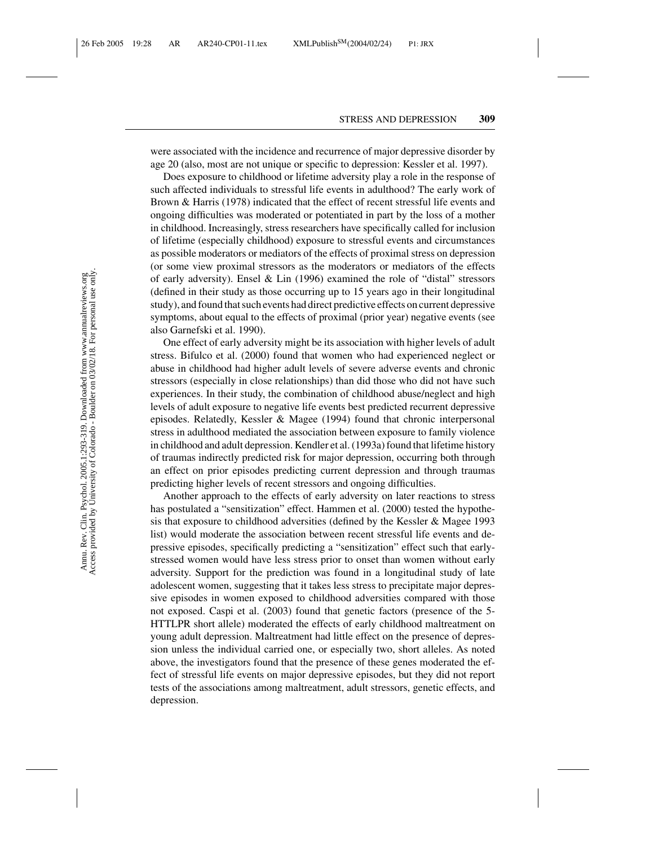were associated with the incidence and recurrence of major depressive disorder by age 20 (also, most are not unique or specific to depression: Kessler et al. 1997).

Does exposure to childhood or lifetime adversity play a role in the response of such affected individuals to stressful life events in adulthood? The early work of Brown & Harris (1978) indicated that the effect of recent stressful life events and ongoing difficulties was moderated or potentiated in part by the loss of a mother in childhood. Increasingly, stress researchers have specifically called for inclusion of lifetime (especially childhood) exposure to stressful events and circumstances as possible moderators or mediators of the effects of proximal stress on depression (or some view proximal stressors as the moderators or mediators of the effects of early adversity). Ensel & Lin (1996) examined the role of "distal" stressors (defined in their study as those occurring up to 15 years ago in their longitudinal study), and found that such events had direct predictive effects on current depressive symptoms, about equal to the effects of proximal (prior year) negative events (see also Garnefski et al. 1990).

One effect of early adversity might be its association with higher levels of adult stress. Bifulco et al. (2000) found that women who had experienced neglect or abuse in childhood had higher adult levels of severe adverse events and chronic stressors (especially in close relationships) than did those who did not have such experiences. In their study, the combination of childhood abuse/neglect and high levels of adult exposure to negative life events best predicted recurrent depressive episodes. Relatedly, Kessler & Magee (1994) found that chronic interpersonal stress in adulthood mediated the association between exposure to family violence in childhood and adult depression. Kendler et al. (1993a) found that lifetime history of traumas indirectly predicted risk for major depression, occurring both through an effect on prior episodes predicting current depression and through traumas predicting higher levels of recent stressors and ongoing difficulties.

Another approach to the effects of early adversity on later reactions to stress has postulated a "sensitization" effect. Hammen et al. (2000) tested the hypothesis that exposure to childhood adversities (defined by the Kessler & Magee 1993 list) would moderate the association between recent stressful life events and depressive episodes, specifically predicting a "sensitization" effect such that earlystressed women would have less stress prior to onset than women without early adversity. Support for the prediction was found in a longitudinal study of late adolescent women, suggesting that it takes less stress to precipitate major depressive episodes in women exposed to childhood adversities compared with those not exposed. Caspi et al. (2003) found that genetic factors (presence of the 5- HTTLPR short allele) moderated the effects of early childhood maltreatment on young adult depression. Maltreatment had little effect on the presence of depression unless the individual carried one, or especially two, short alleles. As noted above, the investigators found that the presence of these genes moderated the effect of stressful life events on major depressive episodes, but they did not report tests of the associations among maltreatment, adult stressors, genetic effects, and depression.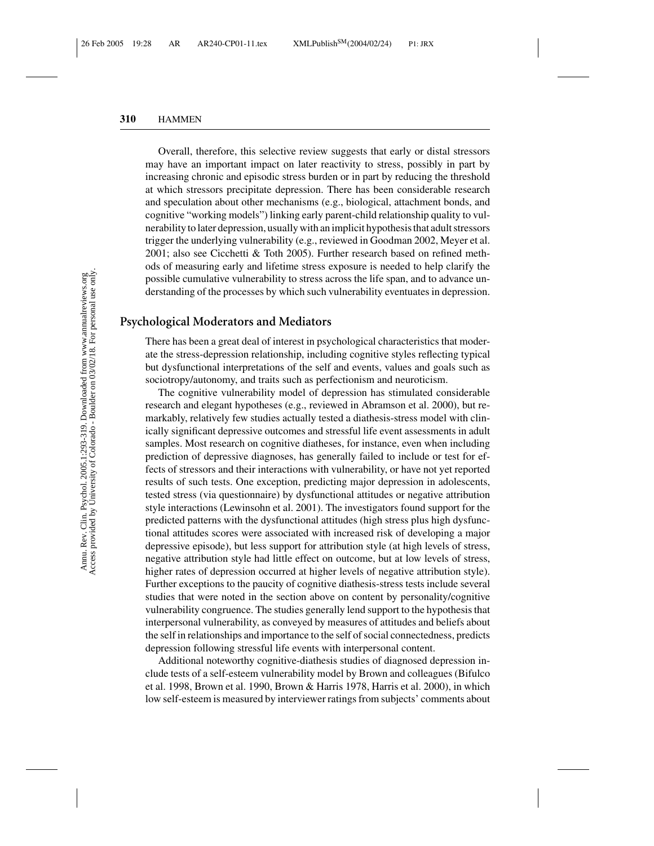Overall, therefore, this selective review suggests that early or distal stressors may have an important impact on later reactivity to stress, possibly in part by increasing chronic and episodic stress burden or in part by reducing the threshold at which stressors precipitate depression. There has been considerable research and speculation about other mechanisms (e.g., biological, attachment bonds, and cognitive "working models") linking early parent-child relationship quality to vulnerability to later depression, usually with an implicit hypothesis that adult stressors trigger the underlying vulnerability (e.g., reviewed in Goodman 2002, Meyer et al. 2001; also see Cicchetti & Toth 2005). Further research based on refined methods of measuring early and lifetime stress exposure is needed to help clarify the possible cumulative vulnerability to stress across the life span, and to advance understanding of the processes by which such vulnerability eventuates in depression.

#### **Psychological Moderators and Mediators**

There has been a great deal of interest in psychological characteristics that moderate the stress-depression relationship, including cognitive styles reflecting typical but dysfunctional interpretations of the self and events, values and goals such as sociotropy/autonomy, and traits such as perfectionism and neuroticism.

The cognitive vulnerability model of depression has stimulated considerable research and elegant hypotheses (e.g., reviewed in Abramson et al. 2000), but remarkably, relatively few studies actually tested a diathesis-stress model with clinically significant depressive outcomes and stressful life event assessments in adult samples. Most research on cognitive diatheses, for instance, even when including prediction of depressive diagnoses, has generally failed to include or test for effects of stressors and their interactions with vulnerability, or have not yet reported results of such tests. One exception, predicting major depression in adolescents, tested stress (via questionnaire) by dysfunctional attitudes or negative attribution style interactions (Lewinsohn et al. 2001). The investigators found support for the predicted patterns with the dysfunctional attitudes (high stress plus high dysfunctional attitudes scores were associated with increased risk of developing a major depressive episode), but less support for attribution style (at high levels of stress, negative attribution style had little effect on outcome, but at low levels of stress, higher rates of depression occurred at higher levels of negative attribution style). Further exceptions to the paucity of cognitive diathesis-stress tests include several studies that were noted in the section above on content by personality/cognitive vulnerability congruence. The studies generally lend support to the hypothesis that interpersonal vulnerability, as conveyed by measures of attitudes and beliefs about the self in relationships and importance to the self of social connectedness, predicts depression following stressful life events with interpersonal content.

Additional noteworthy cognitive-diathesis studies of diagnosed depression include tests of a self-esteem vulnerability model by Brown and colleagues (Bifulco et al. 1998, Brown et al. 1990, Brown & Harris 1978, Harris et al. 2000), in which low self-esteem is measured by interviewer ratings from subjects' comments about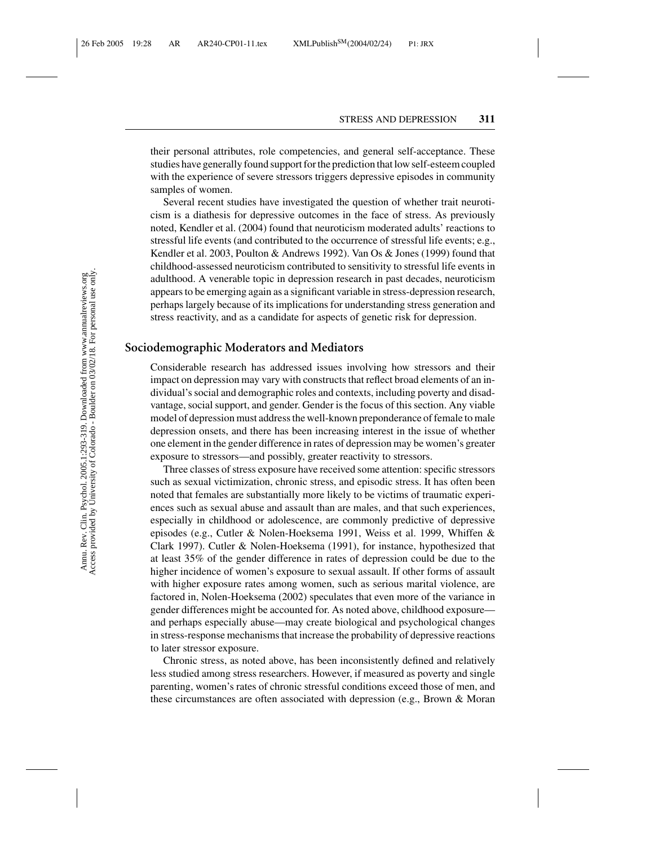their personal attributes, role competencies, and general self-acceptance. These studies have generally found support for the prediction that low self-esteem coupled with the experience of severe stressors triggers depressive episodes in community samples of women.

Several recent studies have investigated the question of whether trait neuroticism is a diathesis for depressive outcomes in the face of stress. As previously noted, Kendler et al. (2004) found that neuroticism moderated adults' reactions to stressful life events (and contributed to the occurrence of stressful life events; e.g., Kendler et al. 2003, Poulton & Andrews 1992). Van Os & Jones (1999) found that childhood-assessed neuroticism contributed to sensitivity to stressful life events in adulthood. A venerable topic in depression research in past decades, neuroticism appears to be emerging again as a significant variable in stress-depression research, perhaps largely because of its implications for understanding stress generation and stress reactivity, and as a candidate for aspects of genetic risk for depression.

## **Sociodemographic Moderators and Mediators**

Considerable research has addressed issues involving how stressors and their impact on depression may vary with constructs that reflect broad elements of an individual's social and demographic roles and contexts, including poverty and disadvantage, social support, and gender. Gender is the focus of this section. Any viable model of depression must address the well-known preponderance of female to male depression onsets, and there has been increasing interest in the issue of whether one element in the gender difference in rates of depression may be women's greater exposure to stressors—and possibly, greater reactivity to stressors.

Three classes of stress exposure have received some attention: specific stressors such as sexual victimization, chronic stress, and episodic stress. It has often been noted that females are substantially more likely to be victims of traumatic experiences such as sexual abuse and assault than are males, and that such experiences, especially in childhood or adolescence, are commonly predictive of depressive episodes (e.g., Cutler & Nolen-Hoeksema 1991, Weiss et al. 1999, Whiffen & Clark 1997). Cutler & Nolen-Hoeksema (1991), for instance, hypothesized that at least 35% of the gender difference in rates of depression could be due to the higher incidence of women's exposure to sexual assault. If other forms of assault with higher exposure rates among women, such as serious marital violence, are factored in, Nolen-Hoeksema (2002) speculates that even more of the variance in gender differences might be accounted for. As noted above, childhood exposure and perhaps especially abuse—may create biological and psychological changes in stress-response mechanisms that increase the probability of depressive reactions to later stressor exposure.

Chronic stress, as noted above, has been inconsistently defined and relatively less studied among stress researchers. However, if measured as poverty and single parenting, women's rates of chronic stressful conditions exceed those of men, and these circumstances are often associated with depression (e.g., Brown & Moran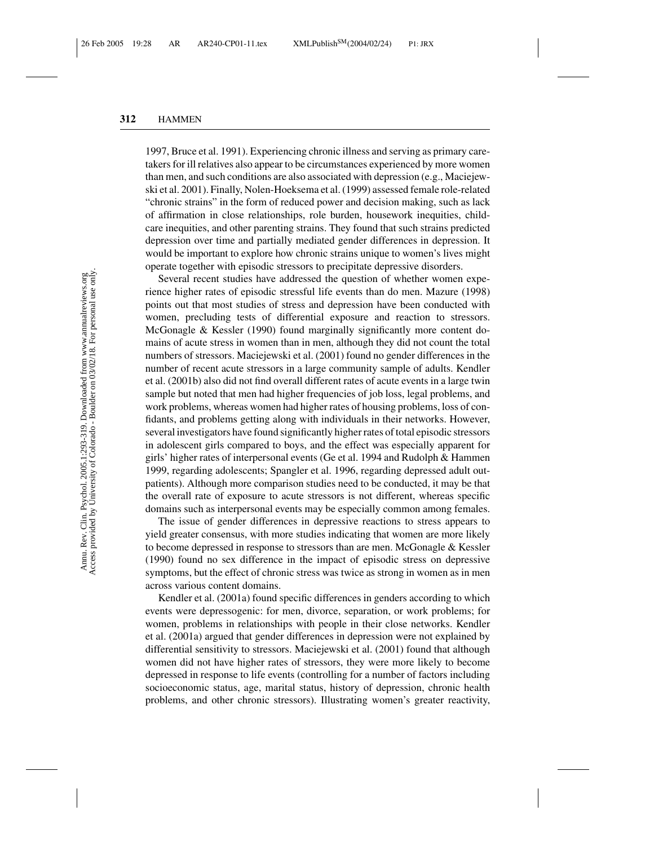1997, Bruce et al. 1991). Experiencing chronic illness and serving as primary caretakers for ill relatives also appear to be circumstances experienced by more women than men, and such conditions are also associated with depression (e.g., Maciejewski et al. 2001). Finally, Nolen-Hoeksema et al. (1999) assessed female role-related "chronic strains" in the form of reduced power and decision making, such as lack of affirmation in close relationships, role burden, housework inequities, childcare inequities, and other parenting strains. They found that such strains predicted depression over time and partially mediated gender differences in depression. It would be important to explore how chronic strains unique to women's lives might operate together with episodic stressors to precipitate depressive disorders.

Several recent studies have addressed the question of whether women experience higher rates of episodic stressful life events than do men. Mazure (1998) points out that most studies of stress and depression have been conducted with women, precluding tests of differential exposure and reaction to stressors. McGonagle & Kessler (1990) found marginally significantly more content domains of acute stress in women than in men, although they did not count the total numbers of stressors. Maciejewski et al. (2001) found no gender differences in the number of recent acute stressors in a large community sample of adults. Kendler et al. (2001b) also did not find overall different rates of acute events in a large twin sample but noted that men had higher frequencies of job loss, legal problems, and work problems, whereas women had higher rates of housing problems, loss of confidants, and problems getting along with individuals in their networks. However, several investigators have found significantly higher rates of total episodic stressors in adolescent girls compared to boys, and the effect was especially apparent for girls' higher rates of interpersonal events (Ge et al. 1994 and Rudolph & Hammen 1999, regarding adolescents; Spangler et al. 1996, regarding depressed adult outpatients). Although more comparison studies need to be conducted, it may be that the overall rate of exposure to acute stressors is not different, whereas specific domains such as interpersonal events may be especially common among females.

The issue of gender differences in depressive reactions to stress appears to yield greater consensus, with more studies indicating that women are more likely to become depressed in response to stressors than are men. McGonagle & Kessler (1990) found no sex difference in the impact of episodic stress on depressive symptoms, but the effect of chronic stress was twice as strong in women as in men across various content domains.

Kendler et al. (2001a) found specific differences in genders according to which events were depressogenic: for men, divorce, separation, or work problems; for women, problems in relationships with people in their close networks. Kendler et al. (2001a) argued that gender differences in depression were not explained by differential sensitivity to stressors. Maciejewski et al. (2001) found that although women did not have higher rates of stressors, they were more likely to become depressed in response to life events (controlling for a number of factors including socioeconomic status, age, marital status, history of depression, chronic health problems, and other chronic stressors). Illustrating women's greater reactivity,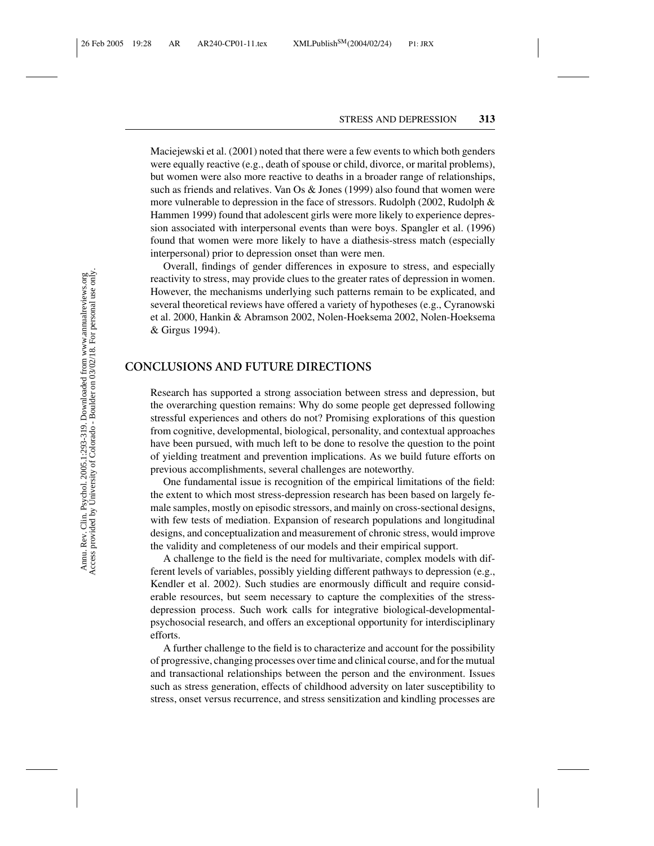Maciejewski et al. (2001) noted that there were a few events to which both genders were equally reactive (e.g., death of spouse or child, divorce, or marital problems), but women were also more reactive to deaths in a broader range of relationships, such as friends and relatives. Van Os & Jones (1999) also found that women were more vulnerable to depression in the face of stressors. Rudolph (2002, Rudolph & Hammen 1999) found that adolescent girls were more likely to experience depression associated with interpersonal events than were boys. Spangler et al. (1996) found that women were more likely to have a diathesis-stress match (especially interpersonal) prior to depression onset than were men.

Overall, findings of gender differences in exposure to stress, and especially reactivity to stress, may provide clues to the greater rates of depression in women. However, the mechanisms underlying such patterns remain to be explicated, and several theoretical reviews have offered a variety of hypotheses (e.g., Cyranowski et al. 2000, Hankin & Abramson 2002, Nolen-Hoeksema 2002, Nolen-Hoeksema & Girgus 1994).

### **CONCLUSIONS AND FUTURE DIRECTIONS**

Research has supported a strong association between stress and depression, but the overarching question remains: Why do some people get depressed following stressful experiences and others do not? Promising explorations of this question from cognitive, developmental, biological, personality, and contextual approaches have been pursued, with much left to be done to resolve the question to the point of yielding treatment and prevention implications. As we build future efforts on previous accomplishments, several challenges are noteworthy.

One fundamental issue is recognition of the empirical limitations of the field: the extent to which most stress-depression research has been based on largely female samples, mostly on episodic stressors, and mainly on cross-sectional designs, with few tests of mediation. Expansion of research populations and longitudinal designs, and conceptualization and measurement of chronic stress, would improve the validity and completeness of our models and their empirical support.

A challenge to the field is the need for multivariate, complex models with different levels of variables, possibly yielding different pathways to depression (e.g., Kendler et al. 2002). Such studies are enormously difficult and require considerable resources, but seem necessary to capture the complexities of the stressdepression process. Such work calls for integrative biological-developmentalpsychosocial research, and offers an exceptional opportunity for interdisciplinary efforts.

A further challenge to the field is to characterize and account for the possibility of progressive, changing processes over time and clinical course, and for the mutual and transactional relationships between the person and the environment. Issues such as stress generation, effects of childhood adversity on later susceptibility to stress, onset versus recurrence, and stress sensitization and kindling processes are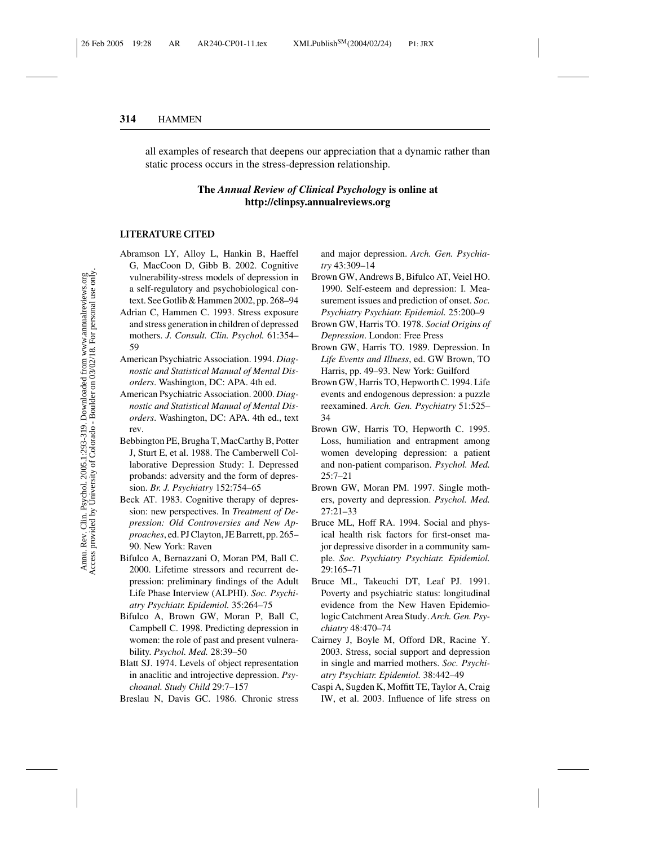all examples of research that deepens our appreciation that a dynamic rather than static process occurs in the stress-depression relationship.

#### **The** *Annual Review of Clinical Psychology* **is online at http://clinpsy.annualreviews.org**

#### **LITERATURE CITED**

- Abramson LY, Alloy L, Hankin B, Haeffel G, MacCoon D, Gibb B. 2002. Cognitive vulnerability-stress models of depression in a self-regulatory and psychobiological context. See Gotlib & Hammen 2002, pp. 268–94
- Adrian C, Hammen C. 1993. Stress exposure and stress generation in children of depressed mothers. *J. Consult. Clin. Psychol.* 61:354– 59
- American Psychiatric Association. 1994. *Diagnostic and Statistical Manual of Mental Disorders*. Washington, DC: APA. 4th ed.
- American Psychiatric Association. 2000. *Diagnostic and Statistical Manual of Mental Disorders*. Washington, DC: APA. 4th ed., text rev.
- Bebbington PE, Brugha T, MacCarthy B, Potter J, Sturt E, et al. 1988. The Camberwell Collaborative Depression Study: I. Depressed probands: adversity and the form of depression. *Br. J. Psychiatry* 152:754–65
- Beck AT. 1983. Cognitive therapy of depression: new perspectives. In *Treatment of Depression: Old Controversies and New Approaches*, ed. PJ Clayton, JE Barrett, pp. 265– 90. New York: Raven
- Bifulco A, Bernazzani O, Moran PM, Ball C. 2000. Lifetime stressors and recurrent depression: preliminary findings of the Adult Life Phase Interview (ALPHI). *Soc. Psychiatry Psychiatr. Epidemiol.* 35:264–75
- Bifulco A, Brown GW, Moran P, Ball C, Campbell C. 1998. Predicting depression in women: the role of past and present vulnerability. *Psychol. Med.* 28:39–50
- Blatt SJ. 1974. Levels of object representation in anaclitic and introjective depression. *Psychoanal. Study Child* 29:7–157
- Breslau N, Davis GC. 1986. Chronic stress

and major depression. *Arch. Gen. Psychiatry* 43:309–14

- Brown GW, Andrews B, Bifulco AT, Veiel HO. 1990. Self-esteem and depression: I. Measurement issues and prediction of onset. *Soc. Psychiatry Psychiatr. Epidemiol.* 25:200–9
- Brown GW, Harris TO. 1978. *Social Origins of Depression*. London: Free Press
- Brown GW, Harris TO. 1989. Depression. In *Life Events and Illness*, ed. GW Brown, TO Harris, pp. 49–93. New York: Guilford
- Brown GW, Harris TO, Hepworth C. 1994. Life events and endogenous depression: a puzzle reexamined. *Arch. Gen. Psychiatry* 51:525– 34
- Brown GW, Harris TO, Hepworth C. 1995. Loss, humiliation and entrapment among women developing depression: a patient and non-patient comparison. *Psychol. Med.* 25:7–21
- Brown GW, Moran PM. 1997. Single mothers, poverty and depression. *Psychol. Med.* 27:21–33
- Bruce ML, Hoff RA. 1994. Social and physical health risk factors for first-onset major depressive disorder in a community sample. *Soc. Psychiatry Psychiatr. Epidemiol.* 29:165–71
- Bruce ML, Takeuchi DT, Leaf PJ. 1991. Poverty and psychiatric status: longitudinal evidence from the New Haven Epidemiologic Catchment Area Study. *Arch. Gen. Psychiatry* 48:470–74
- Cairney J, Boyle M, Offord DR, Racine Y. 2003. Stress, social support and depression in single and married mothers. *Soc. Psychiatry Psychiatr. Epidemiol.* 38:442–49
- Caspi A, Sugden K, Moffitt TE, Taylor A, Craig IW, et al. 2003. Influence of life stress on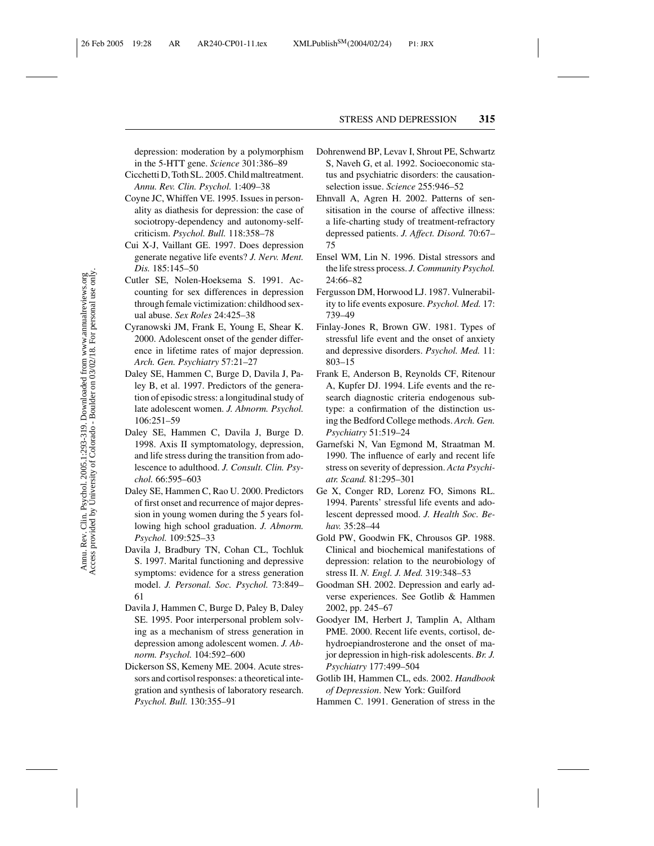depression: moderation by a polymorphism in the 5-HTT gene. *Science* 301:386–89

- Cicchetti D, Toth SL. 2005. Child maltreatment. *Annu. Rev. Clin. Psychol.* 1:409–38
- Coyne JC, Whiffen VE. 1995. Issues in personality as diathesis for depression: the case of sociotropy-dependency and autonomy-selfcriticism. *Psychol. Bull.* 118:358–78
- Cui X-J, Vaillant GE. 1997. Does depression generate negative life events? *J. Nerv. Ment. Dis.* 185:145–50
- Cutler SE, Nolen-Hoeksema S. 1991. Accounting for sex differences in depression through female victimization: childhood sexual abuse. *Sex Roles* 24:425–38
- Cyranowski JM, Frank E, Young E, Shear K. 2000. Adolescent onset of the gender difference in lifetime rates of major depression. *Arch. Gen. Psychiatry* 57:21–27
- Daley SE, Hammen C, Burge D, Davila J, Paley B, et al. 1997. Predictors of the generation of episodic stress: a longitudinal study of late adolescent women. *J. Abnorm. Psychol.* 106:251–59
- Daley SE, Hammen C, Davila J, Burge D. 1998. Axis II symptomatology, depression, and life stress during the transition from adolescence to adulthood. *J. Consult. Clin. Psychol.* 66:595–603
- Daley SE, Hammen C, Rao U. 2000. Predictors of first onset and recurrence of major depression in young women during the 5 years following high school graduation. *J. Abnorm. Psychol.* 109:525–33
- Davila J, Bradbury TN, Cohan CL, Tochluk S. 1997. Marital functioning and depressive symptoms: evidence for a stress generation model. *J. Personal. Soc. Psychol.* 73:849– 61
- Davila J, Hammen C, Burge D, Paley B, Daley SE. 1995. Poor interpersonal problem solving as a mechanism of stress generation in depression among adolescent women. *J. Abnorm. Psychol.* 104:592–600
- Dickerson SS, Kemeny ME. 2004. Acute stressors and cortisol responses: a theoretical integration and synthesis of laboratory research. *Psychol. Bull.* 130:355–91
- Dohrenwend BP, Levav I, Shrout PE, Schwartz S, Naveh G, et al. 1992. Socioeconomic status and psychiatric disorders: the causationselection issue. *Science* 255:946–52
- Ehnvall A, Agren H. 2002. Patterns of sensitisation in the course of affective illness: a life-charting study of treatment-refractory depressed patients. *J. Affect. Disord.* 70:67– 75
- Ensel WM, Lin N. 1996. Distal stressors and the life stress process. *J.Community Psychol.* 24:66–82
- Fergusson DM, Horwood LJ. 1987. Vulnerability to life events exposure. *Psychol. Med.* 17: 739–49
- Finlay-Jones R, Brown GW. 1981. Types of stressful life event and the onset of anxiety and depressive disorders. *Psychol. Med.* 11: 803–15
- Frank E, Anderson B, Reynolds CF, Ritenour A, Kupfer DJ. 1994. Life events and the research diagnostic criteria endogenous subtype: a confirmation of the distinction using the Bedford College methods. *Arch. Gen. Psychiatry* 51:519–24
- Garnefski N, Van Egmond M, Straatman M. 1990. The influence of early and recent life stress on severity of depression. *Acta Psychiatr. Scand.* 81:295–301
- Ge X, Conger RD, Lorenz FO, Simons RL. 1994. Parents' stressful life events and adolescent depressed mood. *J. Health Soc. Behav.* 35:28–44
- Gold PW, Goodwin FK, Chrousos GP. 1988. Clinical and biochemical manifestations of depression: relation to the neurobiology of stress II. *N. Engl. J. Med.* 319:348–53
- Goodman SH. 2002. Depression and early adverse experiences. See Gotlib & Hammen 2002, pp. 245–67
- Goodyer IM, Herbert J, Tamplin A, Altham PME. 2000. Recent life events, cortisol, dehydroepiandrosterone and the onset of major depression in high-risk adolescents. *Br. J. Psychiatry* 177:499–504
- Gotlib IH, Hammen CL, eds. 2002. *Handbook of Depression*. New York: Guilford
- Hammen C. 1991. Generation of stress in the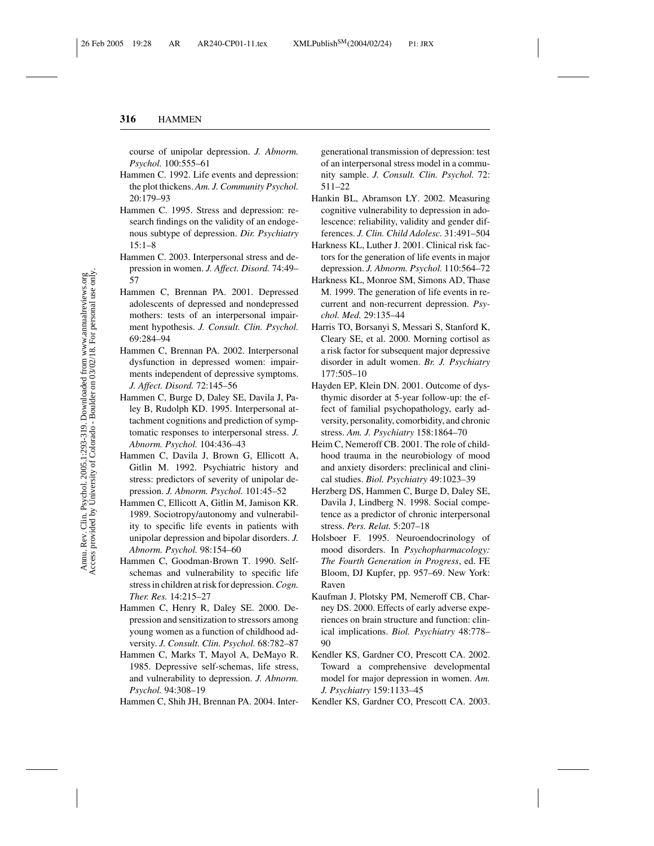course of unipolar depression. *J. Abnorm. Psychol.* 100:555–61

- Hammen C. 1992. Life events and depression: the plot thickens. *Am. J. Community Psychol.* 20:179–93
- Hammen C. 1995. Stress and depression: research findings on the validity of an endogenous subtype of depression. *Dir. Psychiatry* 15:1–8
- Hammen C. 2003. Interpersonal stress and depression in women. *J. Affect. Disord.* 74:49– 57
- Hammen C, Brennan PA. 2001. Depressed adolescents of depressed and nondepressed mothers: tests of an interpersonal impairment hypothesis. *J. Consult. Clin. Psychol.* 69:284–94
- Hammen C, Brennan PA. 2002. Interpersonal dysfunction in depressed women: impairments independent of depressive symptoms. *J. Affect. Disord.* 72:145–56
- Hammen C, Burge D, Daley SE, Davila J, Paley B, Rudolph KD. 1995. Interpersonal attachment cognitions and prediction of symptomatic responses to interpersonal stress. *J. Abnorm. Psychol.* 104:436–43
- Hammen C, Davila J, Brown G, Ellicott A, Gitlin M. 1992. Psychiatric history and stress: predictors of severity of unipolar depression. *J. Abnorm. Psychol.* 101:45–52
- Hammen C, Ellicott A, Gitlin M, Jamison KR. 1989. Sociotropy/autonomy and vulnerability to specific life events in patients with unipolar depression and bipolar disorders. *J. Abnorm. Psychol.* 98:154–60
- Hammen C, Goodman-Brown T. 1990. Selfschemas and vulnerability to specific life stress in children at risk for depression.*Cogn. Ther. Res.* 14:215–27
- Hammen C, Henry R, Daley SE. 2000. Depression and sensitization to stressors among young women as a function of childhood adversity. *J. Consult. Clin. Psychol.* 68:782–87
- Hammen C, Marks T, Mayol A, DeMayo R. 1985. Depressive self-schemas, life stress, and vulnerability to depression. *J. Abnorm. Psychol.* 94:308–19
- Hammen C, Shih JH, Brennan PA. 2004. Inter-

generational transmission of depression: test of an interpersonal stress model in a community sample. *J. Consult. Clin. Psychol.* 72: 511–22

- Hankin BL, Abramson LY. 2002. Measuring cognitive vulnerability to depression in adolescence: reliability, validity and gender differences. *J. Clin. Child Adolesc.* 31:491–504
- Harkness KL, Luther J. 2001. Clinical risk factors for the generation of life events in major depression. *J. Abnorm. Psychol.* 110:564–72
- Harkness KL, Monroe SM, Simons AD, Thase M. 1999. The generation of life events in recurrent and non-recurrent depression. *Psychol. Med.* 29:135–44
- Harris TO, Borsanyi S, Messari S, Stanford K, Cleary SE, et al. 2000. Morning cortisol as a risk factor for subsequent major depressive disorder in adult women. *Br. J. Psychiatry* 177:505–10
- Hayden EP, Klein DN. 2001. Outcome of dysthymic disorder at 5-year follow-up: the effect of familial psychopathology, early adversity, personality, comorbidity, and chronic stress. *Am. J. Psychiatry* 158:1864–70
- Heim C, Nemeroff CB. 2001. The role of childhood trauma in the neurobiology of mood and anxiety disorders: preclinical and clinical studies. *Biol. Psychiatry* 49:1023–39
- Herzberg DS, Hammen C, Burge D, Daley SE, Davila J, Lindberg N. 1998. Social competence as a predictor of chronic interpersonal stress. *Pers. Relat.* 5:207–18
- Holsboer F. 1995. Neuroendocrinology of mood disorders. In *Psychopharmacology: The Fourth Generation in Progress*, ed. FE Bloom, DJ Kupfer, pp. 957–69. New York: Raven
- Kaufman J, Plotsky PM, Nemeroff CB, Charney DS. 2000. Effects of early adverse experiences on brain structure and function: clinical implications. *Biol. Psychiatry* 48:778– 90
- Kendler KS, Gardner CO, Prescott CA. 2002. Toward a comprehensive developmental model for major depression in women. *Am. J. Psychiatry* 159:1133–45
- Kendler KS, Gardner CO, Prescott CA. 2003.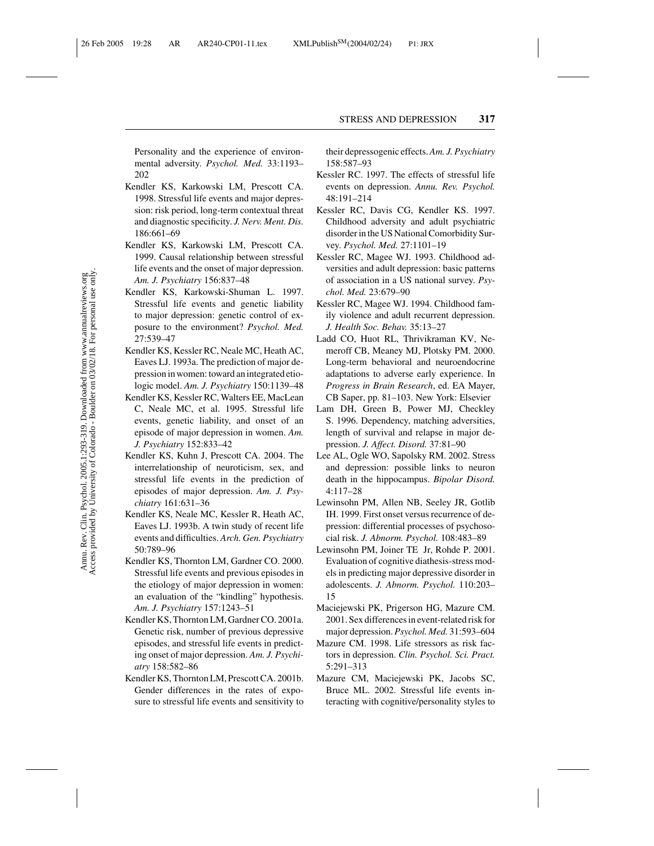Personality and the experience of environmental adversity. *Psychol. Med.* 33:1193– 202

- Kendler KS, Karkowski LM, Prescott CA. 1998. Stressful life events and major depression: risk period, long-term contextual threat and diagnostic specificity. *J. Nerv. Ment. Dis.* 186:661–69
- Kendler KS, Karkowski LM, Prescott CA. 1999. Causal relationship between stressful life events and the onset of major depression. *Am. J. Psychiatry* 156:837–48
- Kendler KS, Karkowski-Shuman L. 1997. Stressful life events and genetic liability to major depression: genetic control of exposure to the environment? *Psychol. Med.* 27:539–47
- Kendler KS, Kessler RC, Neale MC, Heath AC, Eaves LJ. 1993a. The prediction of major depression in women: toward an integrated etiologic model. *Am. J. Psychiatry* 150:1139–48
- Kendler KS, Kessler RC, Walters EE, MacLean C, Neale MC, et al. 1995. Stressful life events, genetic liability, and onset of an episode of major depression in women. *Am. J. Psychiatry* 152:833–42
- Kendler KS, Kuhn J, Prescott CA. 2004. The interrelationship of neuroticism, sex, and stressful life events in the prediction of episodes of major depression. *Am. J. Psychiatry* 161:631–36
- Kendler KS, Neale MC, Kessler R, Heath AC, Eaves LJ. 1993b. A twin study of recent life events and difficulties. *Arch. Gen. Psychiatry* 50:789–96
- Kendler KS, Thornton LM, Gardner CO. 2000. Stressful life events and previous episodes in the etiology of major depression in women: an evaluation of the "kindling" hypothesis. *Am. J. Psychiatry* 157:1243–51
- Kendler KS, Thornton LM, Gardner CO. 2001a. Genetic risk, number of previous depressive episodes, and stressful life events in predicting onset of major depression. *Am. J. Psychiatry* 158:582–86
- Kendler KS, Thornton LM, Prescott CA. 2001b. Gender differences in the rates of exposure to stressful life events and sensitivity to

their depressogenic effects.*Am. J. Psychiatry* 158:587–93

- Kessler RC. 1997. The effects of stressful life events on depression. *Annu. Rev. Psychol.* 48:191–214
- Kessler RC, Davis CG, Kendler KS. 1997. Childhood adversity and adult psychiatric disorder in the US National Comorbidity Survey. *Psychol. Med.* 27:1101–19
- Kessler RC, Magee WJ. 1993. Childhood adversities and adult depression: basic patterns of association in a US national survey. *Psychol. Med.* 23:679–90
- Kessler RC, Magee WJ. 1994. Childhood family violence and adult recurrent depression. *J. Health Soc. Behav.* 35:13–27
- Ladd CO, Huot RL, Thrivikraman KV, Nemeroff CB, Meaney MJ, Plotsky PM. 2000. Long-term behavioral and neuroendocrine adaptations to adverse early experience. In *Progress in Brain Research*, ed. EA Mayer, CB Saper, pp. 81–103. New York: Elsevier
- Lam DH, Green B, Power MJ, Checkley S. 1996. Dependency, matching adversities, length of survival and relapse in major depression. *J. Affect. Disord.* 37:81–90
- Lee AL, Ogle WO, Sapolsky RM. 2002. Stress and depression: possible links to neuron death in the hippocampus. *Bipolar Disord.* 4:117–28
- Lewinsohn PM, Allen NB, Seeley JR, Gotlib IH. 1999. First onset versus recurrence of depression: differential processes of psychosocial risk. *J. Abnorm. Psychol.* 108:483–89
- Lewinsohn PM, Joiner TE Jr, Rohde P. 2001. Evaluation of cognitive diathesis-stress models in predicting major depressive disorder in adolescents. *J. Abnorm. Psychol.* 110:203– 15
- Maciejewski PK, Prigerson HG, Mazure CM. 2001. Sex differences in event-related risk for major depression.*Psychol. Med.* 31:593–604
- Mazure CM. 1998. Life stressors as risk factors in depression. *Clin. Psychol. Sci. Pract.* 5:291–313
- Mazure CM, Maciejewski PK, Jacobs SC, Bruce ML. 2002. Stressful life events interacting with cognitive/personality styles to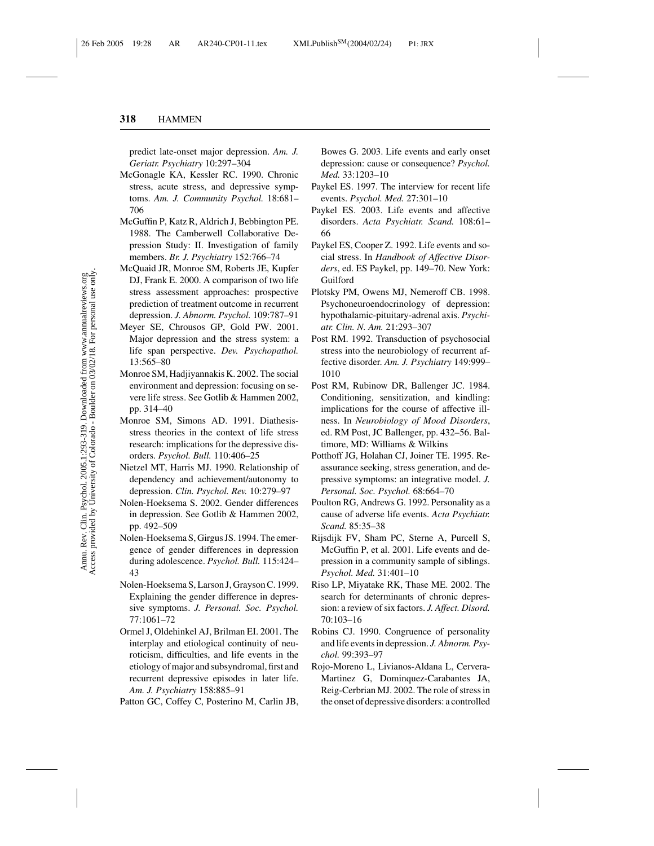predict late-onset major depression. *Am. J. Geriatr. Psychiatry* 10:297–304

- McGonagle KA, Kessler RC. 1990. Chronic stress, acute stress, and depressive symptoms. *Am. J. Community Psychol.* 18:681– 706
- McGuffin P, Katz R, Aldrich J, Bebbington PE. 1988. The Camberwell Collaborative Depression Study: II. Investigation of family members. *Br. J. Psychiatry* 152:766–74
- McQuaid JR, Monroe SM, Roberts JE, Kupfer DJ, Frank E. 2000. A comparison of two life stress assessment approaches: prospective prediction of treatment outcome in recurrent depression. *J. Abnorm. Psychol.* 109:787–91
- Meyer SE, Chrousos GP, Gold PW. 2001. Major depression and the stress system: a life span perspective. *Dev. Psychopathol.* 13:565–80
- Monroe SM, Hadjiyannakis K. 2002. The social environment and depression: focusing on severe life stress. See Gotlib & Hammen 2002, pp. 314–40
- Monroe SM, Simons AD. 1991. Diathesisstress theories in the context of life stress research: implications for the depressive disorders. *Psychol. Bull.* 110:406–25
- Nietzel MT, Harris MJ. 1990. Relationship of dependency and achievement/autonomy to depression. *Clin. Psychol. Rev.* 10:279–97
- Nolen-Hoeksema S. 2002. Gender differences in depression. See Gotlib & Hammen 2002, pp. 492–509
- Nolen-Hoeksema S, Girgus JS. 1994. The emergence of gender differences in depression during adolescence. *Psychol. Bull.* 115:424– 43
- Nolen-Hoeksema S, Larson J, Grayson C. 1999. Explaining the gender difference in depressive symptoms. *J. Personal. Soc. Psychol.* 77:1061–72
- Ormel J, Oldehinkel AJ, Brilman EI. 2001. The interplay and etiological continuity of neuroticism, difficulties, and life events in the etiology of major and subsyndromal, first and recurrent depressive episodes in later life. *Am. J. Psychiatry* 158:885–91
- Patton GC, Coffey C, Posterino M, Carlin JB,

Bowes G. 2003. Life events and early onset depression: cause or consequence? *Psychol. Med.* 33:1203–10

- Paykel ES. 1997. The interview for recent life events. *Psychol. Med.* 27:301–10
- Paykel ES. 2003. Life events and affective disorders. *Acta Psychiatr. Scand.* 108:61– 66
- Paykel ES, Cooper Z. 1992. Life events and social stress. In *Handbook of Affective Disorders*, ed. ES Paykel, pp. 149–70. New York: Guilford
- Plotsky PM, Owens MJ, Nemeroff CB. 1998. Psychoneuroendocrinology of depression: hypothalamic-pituitary-adrenal axis. *Psychiatr. Clin. N. Am.* 21:293–307
- Post RM. 1992. Transduction of psychosocial stress into the neurobiology of recurrent affective disorder. *Am. J. Psychiatry* 149:999– 1010
- Post RM, Rubinow DR, Ballenger JC. 1984. Conditioning, sensitization, and kindling: implications for the course of affective illness. In *Neurobiology of Mood Disorders*, ed. RM Post, JC Ballenger, pp. 432–56. Baltimore, MD: Williams & Wilkins
- Potthoff JG, Holahan CJ, Joiner TE. 1995. Reassurance seeking, stress generation, and depressive symptoms: an integrative model. *J. Personal. Soc. Psychol.* 68:664–70
- Poulton RG, Andrews G. 1992. Personality as a cause of adverse life events. *Acta Psychiatr. Scand.* 85:35–38
- Rijsdijk FV, Sham PC, Sterne A, Purcell S, McGuffin P, et al. 2001. Life events and depression in a community sample of siblings. *Psychol. Med.* 31:401–10
- Riso LP, Miyatake RK, Thase ME. 2002. The search for determinants of chronic depression: a review of six factors. *J. Affect. Disord.* 70:103–16
- Robins CJ. 1990. Congruence of personality and life events in depression. *J. Abnorm. Psychol.* 99:393–97
- Rojo-Moreno L, Livianos-Aldana L, Cervera-Martinez G, Dominquez-Carabantes JA, Reig-Cerbrian MJ. 2002. The role of stress in the onset of depressive disorders: a controlled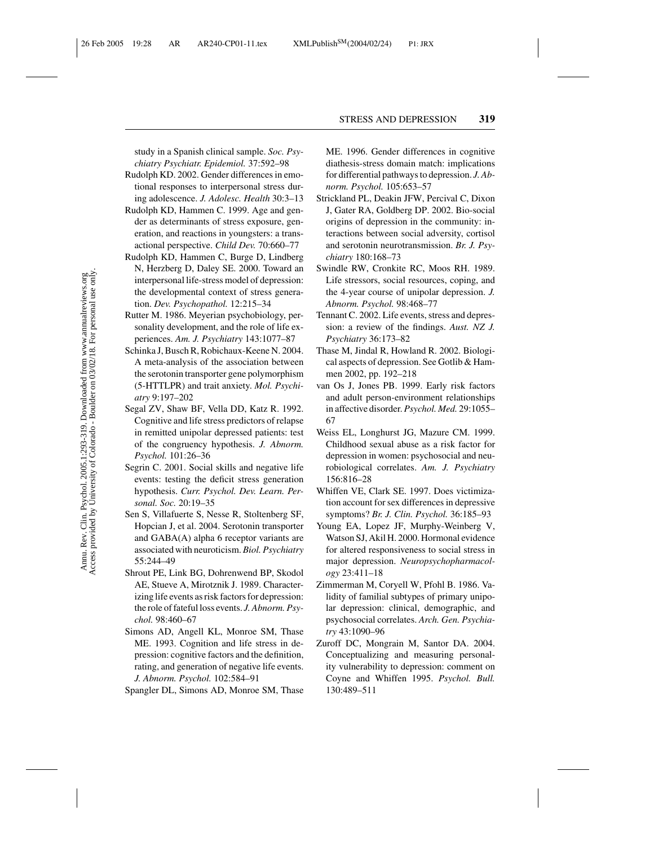study in a Spanish clinical sample. *Soc. Psychiatry Psychiatr. Epidemiol.* 37:592–98

- Rudolph KD. 2002. Gender differences in emotional responses to interpersonal stress during adolescence. *J. Adolesc. Health* 30:3–13
- Rudolph KD, Hammen C. 1999. Age and gender as determinants of stress exposure, generation, and reactions in youngsters: a transactional perspective. *Child Dev.* 70:660–77
- Rudolph KD, Hammen C, Burge D, Lindberg N, Herzberg D, Daley SE. 2000. Toward an interpersonal life-stress model of depression: the developmental context of stress generation. *Dev. Psychopathol.* 12:215–34
- Rutter M. 1986. Meyerian psychobiology, personality development, and the role of life experiences. *Am. J. Psychiatry* 143:1077–87
- Schinka J, Busch R, Robichaux-Keene N. 2004. A meta-analysis of the association between the serotonin transporter gene polymorphism (5-HTTLPR) and trait anxiety. *Mol. Psychiatry* 9:197–202
- Segal ZV, Shaw BF, Vella DD, Katz R. 1992. Cognitive and life stress predictors of relapse in remitted unipolar depressed patients: test of the congruency hypothesis. *J. Abnorm. Psychol.* 101:26–36
- Segrin C. 2001. Social skills and negative life events: testing the deficit stress generation hypothesis. *Curr. Psychol. Dev. Learn. Personal. Soc.* 20:19–35
- Sen S, Villafuerte S, Nesse R, Stoltenberg SF, Hopcian J, et al. 2004. Serotonin transporter and GABA(A) alpha 6 receptor variants are associated with neuroticism. *Biol. Psychiatry* 55:244–49
- Shrout PE, Link BG, Dohrenwend BP, Skodol AE, Stueve A, Mirotznik J. 1989. Characterizing life events as risk factors for depression: the role of fateful loss events. *J. Abnorm. Psychol.* 98:460–67
- Simons AD, Angell KL, Monroe SM, Thase ME. 1993. Cognition and life stress in depression: cognitive factors and the definition, rating, and generation of negative life events. *J. Abnorm. Psychol.* 102:584–91
- Spangler DL, Simons AD, Monroe SM, Thase

ME. 1996. Gender differences in cognitive diathesis-stress domain match: implications for differential pathways to depression. *J. Abnorm. Psychol.* 105:653–57

- Strickland PL, Deakin JFW, Percival C, Dixon J, Gater RA, Goldberg DP. 2002. Bio-social origins of depression in the community: interactions between social adversity, cortisol and serotonin neurotransmission. *Br. J. Psychiatry* 180:168–73
- Swindle RW, Cronkite RC, Moos RH. 1989. Life stressors, social resources, coping, and the 4-year course of unipolar depression. *J. Abnorm. Psychol.* 98:468–77
- Tennant C. 2002. Life events, stress and depression: a review of the findings. *Aust. NZ J. Psychiatry* 36:173–82
- Thase M, Jindal R, Howland R. 2002. Biological aspects of depression. See Gotlib & Hammen 2002, pp. 192–218
- van Os J, Jones PB. 1999. Early risk factors and adult person-environment relationships in affective disorder. *Psychol. Med.* 29:1055– 67
- Weiss EL, Longhurst JG, Mazure CM. 1999. Childhood sexual abuse as a risk factor for depression in women: psychosocial and neurobiological correlates. *Am. J. Psychiatry* 156:816–28
- Whiffen VE, Clark SE. 1997. Does victimization account for sex differences in depressive symptoms? *Br. J. Clin. Psychol.* 36:185–93
- Young EA, Lopez JF, Murphy-Weinberg V, Watson SJ, Akil H. 2000. Hormonal evidence for altered responsiveness to social stress in major depression. *Neuropsychopharmacology* 23:411–18
- Zimmerman M, Coryell W, Pfohl B. 1986. Validity of familial subtypes of primary unipolar depression: clinical, demographic, and psychosocial correlates. *Arch. Gen. Psychiatry* 43:1090–96
- Zuroff DC, Mongrain M, Santor DA. 2004. Conceptualizing and measuring personality vulnerability to depression: comment on Coyne and Whiffen 1995. *Psychol. Bull.* 130:489–511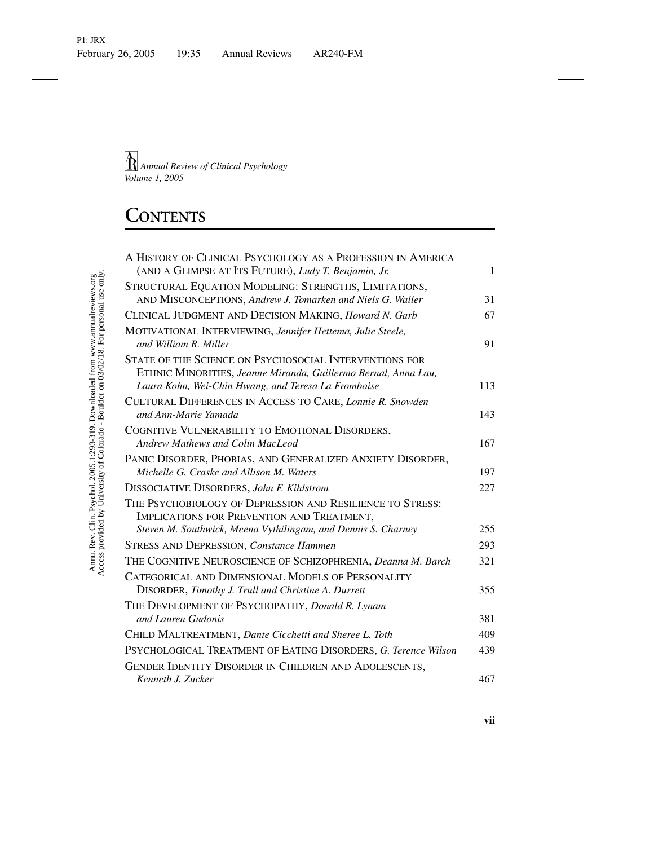# **CONTENTS**

| A HISTORY OF CLINICAL PSYCHOLOGY AS A PROFESSION IN AMERICA<br>(AND A GLIMPSE AT ITS FUTURE), Ludy T. Benjamin, Jr.                                                             | $\mathbf{1}$ |
|---------------------------------------------------------------------------------------------------------------------------------------------------------------------------------|--------------|
| STRUCTURAL EQUATION MODELING: STRENGTHS, LIMITATIONS,<br>AND MISCONCEPTIONS, Andrew J. Tomarken and Niels G. Waller                                                             | 31           |
| CLINICAL JUDGMENT AND DECISION MAKING, Howard N. Garb                                                                                                                           | 67           |
| MOTIVATIONAL INTERVIEWING, Jennifer Hettema, Julie Steele,<br>and William R. Miller                                                                                             | 91           |
| STATE OF THE SCIENCE ON PSYCHOSOCIAL INTERVENTIONS FOR<br>ETHNIC MINORITIES, Jeanne Miranda, Guillermo Bernal, Anna Lau,<br>Laura Kohn, Wei-Chin Hwang, and Teresa La Fromboise | 113          |
| <b>CULTURAL DIFFERENCES IN ACCESS TO CARE, Lonnie R. Snowden</b><br>and Ann-Marie Yamada                                                                                        | 143          |
| COGNITIVE VULNERABILITY TO EMOTIONAL DISORDERS,<br>Andrew Mathews and Colin MacLeod                                                                                             | 167          |
| PANIC DISORDER, PHOBIAS, AND GENERALIZED ANXIETY DISORDER,<br>Michelle G. Craske and Allison M. Waters                                                                          | 197          |
| <b>DISSOCIATIVE DISORDERS, John F. Kihlstrom</b>                                                                                                                                | 227          |
| THE PSYCHOBIOLOGY OF DEPRESSION AND RESILIENCE TO STRESS:<br>IMPLICATIONS FOR PREVENTION AND TREATMENT,                                                                         |              |
| Steven M. Southwick, Meena Vythilingam, and Dennis S. Charney                                                                                                                   | 255          |
| <b>STRESS AND DEPRESSION, Constance Hammen</b>                                                                                                                                  | 293          |
| THE COGNITIVE NEUROSCIENCE OF SCHIZOPHRENIA, Deanna M. Barch                                                                                                                    | 321          |
| CATEGORICAL AND DIMENSIONAL MODELS OF PERSONALITY<br>DISORDER, Timothy J. Trull and Christine A. Durrett                                                                        | 355          |
| THE DEVELOPMENT OF PSYCHOPATHY, Donald R. Lynam<br>and Lauren Gudonis                                                                                                           | 381          |
| CHILD MALTREATMENT, Dante Cicchetti and Sheree L. Toth                                                                                                                          | 409          |
| PSYCHOLOGICAL TREATMENT OF EATING DISORDERS, G. Terence Wilson                                                                                                                  | 439          |
| GENDER IDENTITY DISORDER IN CHILDREN AND ADOLESCENTS,<br>Kenneth J. Zucker                                                                                                      | 467          |